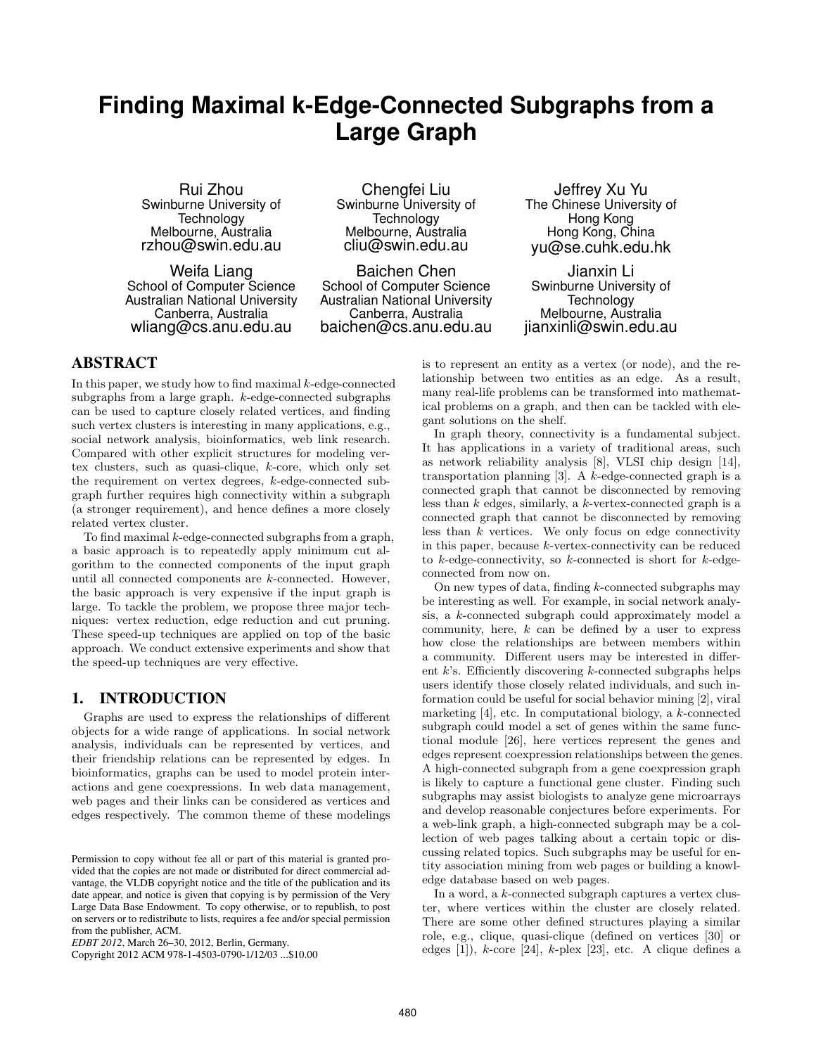# **Finding Maximal k-Edge-Connected Subgraphs from a Large Graph**

Rui Zhou Swinburne University of **Technology** Melbourne, Australia rzhou@swin.edu.au

Weifa Liang School of Computer Science Australian National University Canberra, Australia wliang@cs.anu.edu.au

Chengfei Liu Swinburne University of **Technology** Melbourne, Australia cliu@swin.edu.au

Baichen Chen School of Computer Science Australian National University Canberra, Australia baichen@cs.anu.edu.au

Jeffrey Xu Yu The Chinese University of Hong Kong Hong Kong, China yu@se.cuhk.edu.hk

Jianxin Li Swinburne University of **Technology** Melbourne, Australia jianxinli@swin.edu.au

# **ABSTRACT**

In this paper, we study how to find maximal  $k$ -edge-connected subgraphs from a large graph.  $k$ -edge-connected subgraphs can be used to capture closely related vertices, and finding such vertex clusters is interesting in many applications, e.g., social network analysis, bioinformatics, web link research. Compared with other explicit structures for modeling vertex clusters, such as quasi-clique,  $k$ -core, which only set<br>the requirement on vertex degrees  $k$ -edge-connected subthe requirement on vertex degrees,  $k$ -edge-connected subgraph further requires high connectivity within a subgraph (a stronger requirement), and hence defines a more closely related vertex cluster.

To find maximal  $k$ -edge-connected subgraphs from a graph,<br>a basic approach is to repeatedly apply minimum cut ala basic approach is to repeatedly apply minimum cut algorithm to the connected components are  $k$ -connected. However, the hasic approach is very expensive if the input graph is the basic approach is very expensive if the input graph is large. To tackle the problem, we propose three major techniques: vertex reduction, edge reduction and cut pruning. These speed-up techniques are applied on top of the basic approach. We conduct extensive experiments and show that the speed-up techniques are very effective. the speed-up techniques are very effective.

#### **1. INTRODUCTION**

Graphs are used to express the relationships of different objects for a wide range of applications. In social network analysis, individuals can be represented by vertices, and their friendship relations can be represented by edges. In bioinformatics, graphs can be used to model protein interactions and gene coexpressions. In web data management, web pages and their links can be considered as vertices and  $\frac{1}{2}$  and  $\frac{1}{2}$  and  $\frac{1}{2}$  and  $\frac{1}{2}$  are compared the compared as  $\frac{1}{2}$  and  $\frac{1}{2}$  are  $\frac{1}{2}$  and  $\frac{1}{2}$  are  $\frac{1}{2}$  are  $\frac{1}{2}$  are  $\frac{1}{2}$  are  $\frac{1}{2}$  are  $\frac{1}{2}$  are  $\frac{1}{2}$  are edges respectively. The common theme of these modelings

Copyright 2012 ACM 978-1-4503-0790-1/12/03 ...\$10.00

is to represent an entity as a vertex (or node), and the re-<br>lationship between two entities as an edge. As a result, many real-life problems can be transformed into mathematical problems on a graph, and then can be tackled with elegant solutions on the shelf.

In graph theory, connectivity is a fundamental subject. It has applications in a variety of traditional areas, such as network reliability analysis  $[8]$ , VLSI chip design  $[14]$ , transportation planning [3]. A k-edge-connected graph is a<br>connected graph is a connected graph is a connected graph is a less than  $k$  edges, similarly, a  $k$ -vertex-connected graph is a connected graph that cannot be disconnected by removing less than  $k$  vertices. We only focus on edge connectivity<br>in this paper, because  $k$ -vertex-connectivity can be reduced in this paper, because <sup>k</sup>-vertex-connectivity can be reduced to  $k$ -edge-connectivity, so  $k$ -connected is short for  $k$ -edge-connected from now on.

On new types of data, finding  $k$ -connected subgraphs may<br>be interesting as well. For example, in social network analy- $\frac{1}{2}$  is, a k-connected subgraph could approximately model a<br>community-here k can be defined by a user to express community, here,  $k$  can be defined by a user to express how close the relationships are between members within a community. Different users may be interested in different k's. Efficiently discovering k-connected subgraphs helps<br>users identify those closely related individuals and such inusers identify those closely related individuals, and such information could be useful for social behavior mining [2], viral formation could be useful formational biology, a k-connected<br>subgraph could model a set of genes within the same funcsubgraph could model a set of genes within the same func-<br>tional module [26], here vertices represent the genes and edges represent coexpression relationships between the genes. A high-connected subgraph from a gene coexpression graph is likely to capture a functional gene cluster. Finding such subgraphs may assist biologists to analyze gene microarrays and develop reasonable conjectures before experiments. For a web-link graph, a high-connected subgraph may be a collection of web pages talking about a certain topic or discussing related topics. Such subgraphs may be useful for entity association mining from web pages or building a knowledge database based on web pages.

In a word, a k-connected subgraph captures a vertex clus-<br>ter where vertices within the cluster are closely related ter, where vertices within the cluster are closely related. role, e.g., clique, quasi-clique (defined on vertices [30] or edges [1]),  $k$ -core [24],  $k$ -plex [23], etc. A clique defines a

Permission to copy without fee all or part of this material is granted provided that the copies are not made or distributed for direct commercial advantage, the VLDB copyright notice and the title of the publication and its date appear, and notice is given that copying is by permission of the Very Large Data Base Endowment. To copy otherwise, or to republish, to post on servers or to redistribute to lists, requires a fee and/or special permission from the publisher, ACM.

*EDBT 2012*, March 26–30, 2012, Berlin, Germany.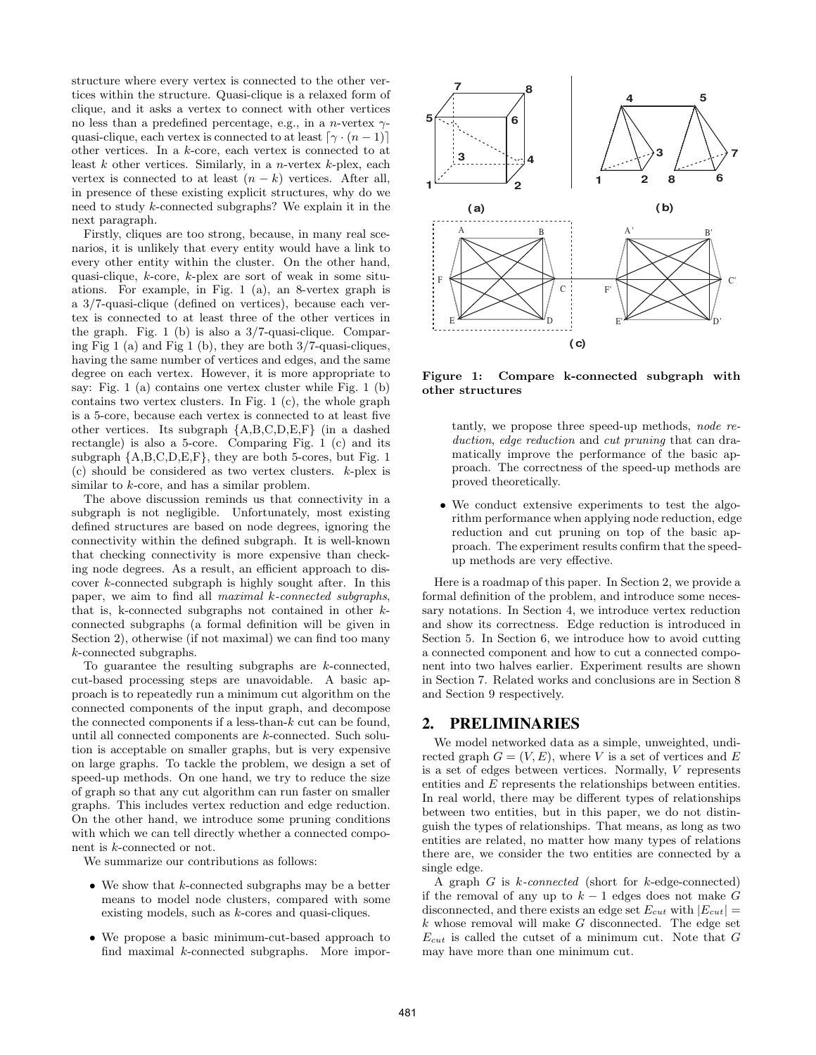structure where every vertex is connected to the other vertices within the structure. Quasi-clique is a relaxed form of clique, and it asks a vertex to connect with other vertices connection is a vertex to connect with our connect with our connect with our connected to at least  $[\alpha, (n-1)]$ quasi-clique, each vertex is connected to at least  $\lceil \gamma \cdot (n-1) \rceil$ other vertices. In a <sup>k</sup>-core, each vertex is connected to at least  $k$  other vertices. Similarly, in a *n*-vertex  $k$ -plex, each vertex is connected to at least  $(n - k)$  vertices. After all, in presence of these existing explicit structures, why do we need to study k-connected subgraphs? We explain it in the next paragraph.<br>Firstly, cliques are too strong, because, in many real sce-

narios, it is unlikely that every entity would have a link to every other entity within the cluster. On the other hand, every other entity with the core, k-plex are sort of weak in some situations. For example in Fig. 1(a) an 8-vertex graph is ations. For example, in Fig. 1 (a), an 8-vertex graph is a  $3/7$ -quasi-clique (defined on vertices), because each vertex is connected to at least three of the other vertices in the graph. Fig. 1 (b) is also a  $3/7$ -quasi-clique. Comparing Fig 1 (a) and Fig 1 (b), they are both  $3/7$ -quasi-cliques, having the same number of vertices and edges, and the same degree on each vertex. However, it is more appropriate to say: Fig. 1 (a) contains one vertex cluster while Fig. 1 (b) contains two vertex clusters. In Fig. 1 (c), the whole graph is a 5-core, because each vertex is connected to at least five other vertices. Its subgraph  ${A,B,C,D,E,F}$  (in a dashed rectangle) is also a 5-core. Comparing Fig. 1 (c) and its subgraph  $\{A,B,C,D,E,F\}$ , they are both 5-cores, but Fig. 1  $(c)$  should be considered as two vertex clusters  $k$ -plex is (c) should be considered as two vertex clusters. <sup>k</sup>-plex is similar to  $k$ -core, and has a similar problem.<br>The above discussion reminds us that connectivity in a

subgraph is not negligible. Unfortunately, most existing defined structures are based on node degrees, ignoring the connectivity within the defined subgraph. It is well-known that checking connectivity is more expensive than checking node degrees. As a result, an efficient approach to discover  $k$ -connected subgraph is highly sought after. In this<br>paper, we aim to find all maximal k-connected subgraphs paper, we aim to find all *maximal* <sup>k</sup>*-connected subgraphs*, that is, k-connected subgraphs not contained in other <sup>k</sup>-Section 2), otherwise (if not maximal) we can find too many  $k$ -connected subgraphs.<br>
To guarantee the resulting subgraphs are  $k$ -connected.

To guarantee the resulting subgraphs are  $k$ -connected, cut-based processing steps are unavoidable. A basic approach is to repeatedly run a minimum cut algorithm on the connected components of the input graph, and decompose the connected components if a less-than-k cut can be found,<br>until all connected components are k-connected. Such soluuntil all connected components are *k*-connected. Such solution is acceptable on smaller graphs, but is very expensive on large graphs. To tackle the problem, we design a set of speed-up methods. On one hand, we try to reduce the size of graph so that any cut algorithm can run faster on smaller graphs. This includes vertex reduction and edge reduction. On the other hand, we introduce some pruning conditions. with which we can tell directly whether a connected compoment is  $k$ -connected or not.<br>We summarize our contributions as follows:

- We show that  $k$ -connected subgraphs may be a better means to model node clusters, compared with some existing models, such as  $k$ -cores and quasi-cliques.
- We propose a basic minimum-cut-based approach to find maximal <sup>k</sup>-connected subgraphs. More impor-



Figure 1: Compare k-connected subgraph with other structures

tantly, we propose three speed-up methods, *node reduction*, *edge reduction* and *cut pruning* that can draproach. The correctness of the speed-up methods are proved theoretically.  $\mathbf{p}$ 

• We conduct extensive experiments to test the algo-<br>rithm performance when applying node reduction, edge reduction and cut pruning on top of the basic approach. The experiment results confirm that the speedproach. The experiment results confirm that the speedup methods are very effective.

Here is a roadmap of this paper. In Section 2, we provide a formal definition of the problem, and introduce some necessary notations. In Section 4, we introduce vertex reduction and show its correctness. Edge reduction is introduced in Section 5. In Section 6, we introduce how to avoid cutting a connected component and how to cut a connected component into two halves earlier. Experiment results are shown in Section 7. Related works and conclusions are in Section  $8$ and Section 9. respectively and  $\mathbf{r}$  respectively.

#### **2. PRELIMINARIES**

rected graph  $G = (V, E)$ , where V is a set of vertices and E<br>is a set of edges between vertices Normally V represents is a set of edges between vertices. Normally, <sup>V</sup> represents entities and  $E$  represents the relationships between entities.<br>In real world, there may be different types of relationships between two entities, but in this paper, we do not distinguish the types of relationships. That means, as long as two entities are related, no matter how many types of relations there are, we consider the two entities are connected by a single edge.

A graph G is k-connected (short for k-edge-connected) if the removal of any up to  $k-1$  edges does not make G if the removal of any up to  $k-1$  edges does not make G disconnected, and there exists an edge set  $E_{cut}$  with  $|E_{cut}| =$  $k$  whose removal will make  $G$  disconnected. The edge set  $E_{cut}$  is called the cutset of a minimum cut. Note that G may have more than one minimum cut.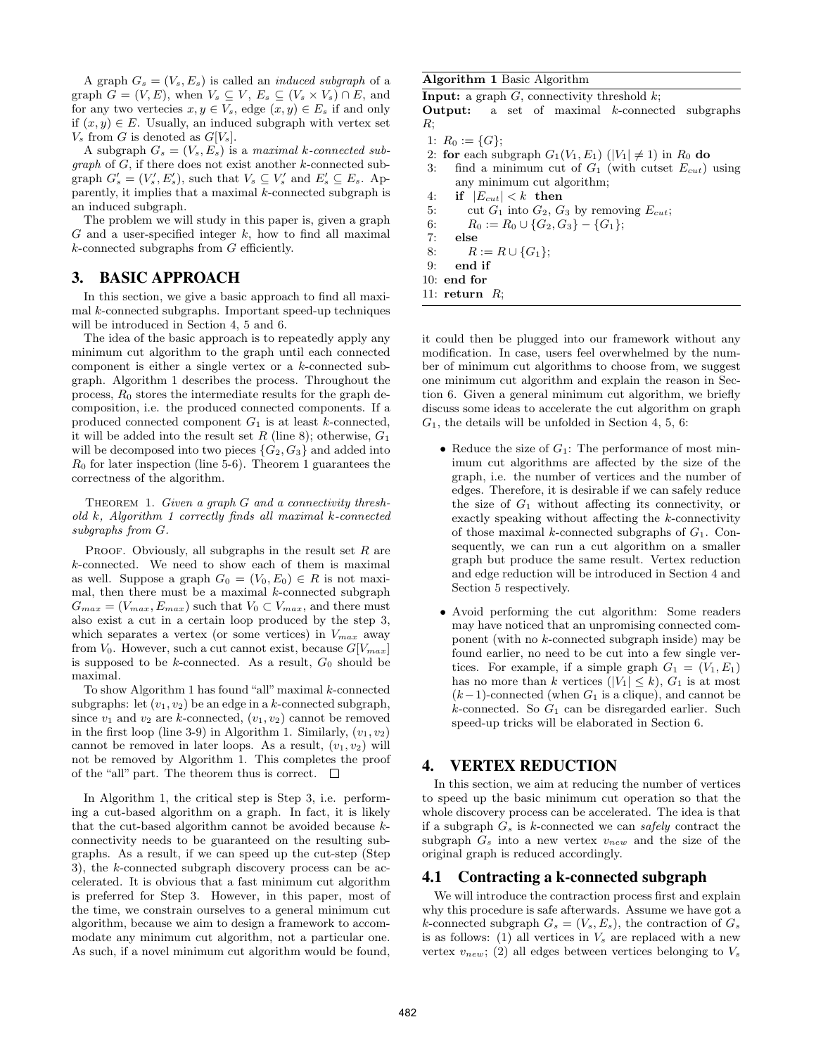A graph  $G_s = (V_s, E_s)$  is called an *induced subgraph* of a graph  $G = (V, E)$ , when  $V_s \subseteq V$ ,  $E_s \subseteq (V_s \times V_s) \cap E$ , and for any two vertecies  $x, y \in V_s$ , edge  $(x, y) \in E_s$  if and only if  $(x, y) \in E$ . Usually, an induced subgraph with vertex set  $V_s$  from G is denoted as  $G[V_s]$ .

A subgraph  $G_s = (V_s, E_s)$  is a *maximal* k-connected sub*graph* of <sup>G</sup>, if there does not exist another <sup>k</sup>-connected subgraph  $G'_s = (V'_s, E'_s)$ , such that  $V_s \subseteq V'_s$  and  $E'_s \subseteq E_s$ . Approximately it implies that a maximal k-connected subgraph is parently, it implies that a maximal  $k$ -connected subgraph is an induced subgraph.

The problem we will study in this paper is, given a graph G and a user-specified integer k, how to find all maximal<br>  $k$ -connected subgraphs from G efficiently  $k$ -connected subgraphs from  $G$  efficiently.

# **3. BASIC APPROACH**

mal k-connected subgraphs. Important speed-up techniques<br>will be introduced in Section 4, 5 and 6. will be introduced in Section 4, 5 and 6.<br>The idea of the basic approach is to repeatedly apply any

minimum cut algorithm to the graph until each connected component is either a single vertex or a  $k$ -connected sub-<br>graph Algorithm 1 describes the process. Throughout the process,  $R_0$  stores the intermediate results for the graph de-<br>composition i.e. the produced connected components. If a produced connected component  $G_1$  is at least k-connected,<br>it will be added into the result set R (line 8); otherwise  $G_2$ . it will be added into the result set R (line 8); otherwise,  $G_1$ will be decomposed into two pieces  ${G_2, G_3}$  and added into  $R_0$  for later inspection (line 5-6). Theorem 1 guarantees the correctness of the algorithm. correctness of the algorithm.

Theorem 1. *Given a graph* <sup>G</sup> *and a connectivity threshold* k*, Algorithm 1 correctly finds all maximal* k*-connected subgraphs from* G*.*

PROOF. Obviously, all subgraphs in the result set  $R$  are <sup>k</sup>-connected. We need to show each of them is maximal as well. Suppose a graph  $G_0 = (V_0, E_0) \in R$  is not maximal, then there must be a maximal  $k$ -connected subgraph  $G_{max} = (V_{max}, E_{max})$  such that  $V_0 \subset V_{max}$ , and there must also exist a cut in a certain loop produced by the step 3, which separates a vertex (or some vertices) in  $V_{max}$  away<br>from  $V_0$ . However such a cut cannot exist because  $G[V]$ from  $V_0$ . However, such a cut cannot exist, because  $G[V_{max}]$ is supposed to be  $k$ -connected. As a result,  $G_0$  should be maximal.

To show Algorithm 1 has found "all" maximal k-connected<br>subgraphs: let  $(v_1, v_0)$  be an edge in a k-connected subgraph subgraphs: let  $(v_1, v_2)$  be an edge in a k-connected subgraph, since  $v_1$  and  $v_2$  are k-connected,  $(v_1, v_2)$  cannot be removed in the first loop (line 3-9) in Algorithm 1. Similarly,  $(v_1, v_2)$ cannot be removed in later loops. As a result,  $(v_1, v_2)$  will not be removed by Algorithm 1. This completes the proof of the "all" part. The theorem thus is correct.  $\Box$ of the "all" part. The theorem thus is correct.

In Algorithm 1, the critical step is Step 3, i.e. perform-<br>ing a cut-based algorithm on a graph. In fact, it is likely  $\frac{1}{\text{total}}$  that the cut-based algorithm cannot be avoided because k-<br>connectivity needs to be guaranteed on the resulting subconnectivity needs to be guaranteed on the resulting subgraphs. As a result, if we can speed up the cut-step (Step  $g_{\text{c}}$ , the k-connected subgraph discovery process can be ac-<br>celerated. It is obvious that a fast minimum cut algorithm celerated. It is obvious that a fast minimum cut algorithm the time, we constrain ourselves to a general minimum cut algorithm, because we aim to design a framework to accommodate any minimum cut algorithm, not a particular one. modern complete and modern contract and particular one. As such, if a novel minimum cut algorithm would be found,

#### Algorithm 1 Basic Algorithm

**Input:** a graph  $G$ , connectivity threshold  $k$ ;<br>**Output:** a set of maximal  $k$ -connection

a set of maximal  $k$ -connected subgraphs R;

- 1:  $R_0 := \{G\};$
- 2: for each subgraph  $G_1(V_1, E_1)$  ( $|V_1| \neq 1$ ) in  $R_0$  do 3: find a minimum cut of  $G_1$  (with cutset  $E_{cut}$ )
- find a minimum cut of  $G_1$  (with cutset  $E_{cut}$ ) using any minimum cut algorithm;
- 4: if  $|E_{cut}| < k$  then<br>5: cut  $G_1$  into  $G_2$   $G_3$  by rem
- 5: cut  $G_1$  into  $G_2$ ,  $G_3$  by removing  $E_{cut}$ ;<br>6:  $R_0 := R_0 \cup \{G_2, G_3\} \{G_1\};$
- 6:  $R_0 := R_0 \cup \{G_2, G_3\} \{G_1\};$ <br>7: else
- 7: else<br>8:  $R$
- 8:  $R := R \cup \{G_1\};$ <br>9: **end if**

 $9:$  end if  $0:$  end for

10: end for<br> $11:$  return

11:  $return R$ ;

it could then be plugged into our framework without any ber of minimum cut algorithms to choose from, we suggest one minimum cut algorithm and explain the reason in Section 6. Given a general minimum cut algorithm, we briefly discuss some ideas to accelerate the cut algorithm on graph  $G_1$ , the details will be unfolded in Section 4, 5, 6:

- Reduce the size of  $G_1$ : The performance of most min-<br>imum cut algorithms are affected by the size of the graph, i.e. the number of vertices and the number of edges. Therefore, it is desirable if we can safely reduce the size of  $G_1$  without affecting its connectivity, or<br>exactly speaking without affecting the k-connectivity exactly speaking without affecting the <sup>k</sup>-connectivity of those maximal *k*-connected subgraphs of  $G_1$ . Consequently, we can run a cut algorithm on a smaller graph but produce the same result. Vertex reduction and edge reduction will be introduced in Section 4 and and edge reductively Section 5 respectively.
- Avoid performing the cut algorithm: Some readers may have noticed that an unpromising connected commay have not connected subgraph inside) may be not (with no k-connected subgraph inside) may be found earlier no need to be cut into a few single verfices. For example, if a simple graph  $G_1 = (V_1, E_1)$ <br>has no more than k vertices  $(|V_1| \le k)$ ,  $G_1$  is at most has no more than k vertices  $(|V_1| \leq k)$ ,  $G_1$  is at most  $(k-1)$ -connected (when  $G_1$  is a clique), and cannot be  $k$ -connected. So  $G_1$  can be disregarded earlier. Such speed-up tricks will be elaborated in Section 6.

# **4. VERTEX REDUCTION**

In this section, we aim at reducing the number of vertices<br>to speed up the basic minimum cut operation so that the whole discovery process can be accelerated. The idea is that if a subgraph  $G_s$  is k-connected we can *safely* contract the<br>subgraph  $G_s$  into a new vertex  $v =$  and the size of the subgraph  $G_s$  into a new vertex  $v_{new}$  and the size of the original graph is reduced accordingly.

#### **4.1 Contracting a k-connected subgraph**

We will introduce the contraction process first and explain why this procedure is safe afterwards. Assume we have got a k-connected subgraph  $G_s = (V_s, E_s)$ , the contraction of  $G_s$ <br>is as follows: (1) all vertices in V are replaced with a new is as follows:  $(1)$  all vertices in  $V_s$  are replaced with a new vertex  $v_{new}$ ; (2) all edges between vertices belonging to  $V_s$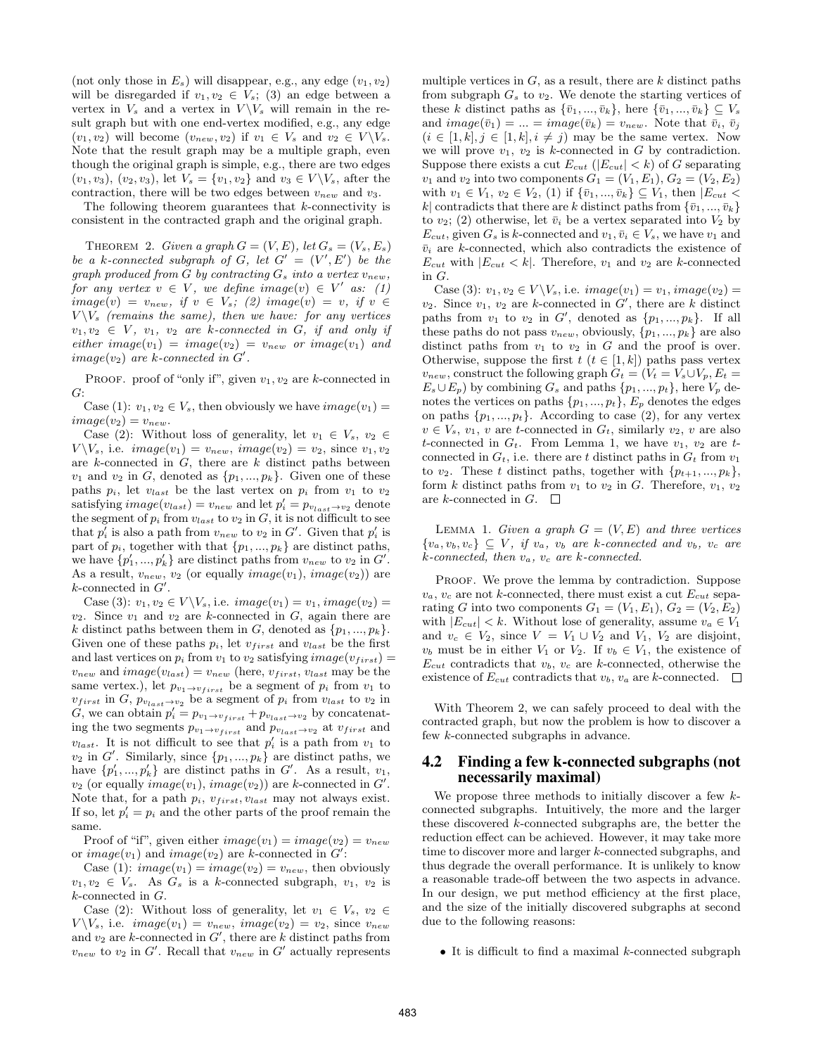(not only those in  $E_s$ ) will disappear, e.g., any edge  $(v_1, v_2)$ will be disregarded if  $v_1, v_2 \in V_s$ ; (3) an edge between a vertex in  $V_s$  and a vertex in  $V \backslash V_s$  will remain in the re-<br>sult graph but with one end-vertex modified, e.g., any edge  $\mathcal{L}(v_1, v_2)$  will become  $(v_{new}, v_2)$  if  $v_1 \in V_s$  and  $v_2 \in V \setminus V_s$ .<br>Note that the result graph may be a multiple graph even Note that the result graph may be a multiple graph, even though the original graph is simple, e.g., there are two edges  $(v_1, v_3)$ ,  $(v_2, v_3)$ , let  $V_s = \{v_1, v_2\}$  and  $v_3 \in V \backslash V_s$ , after the contraction there will be two edges between  $v_s$  and  $v_s$ contraction, there will be two edges between  $v_{new}$  and  $v_3$ .

The following theorem guarantees that <sup>k</sup>-connectivity is consistent in the contracted graph and the original graph.

THEOREM 2. *Given a graph*  $G = (V, E)$ , let  $G_s = (V_s, E_s)$ *be a* k-connected subgraph of G, let  $G' = (V', E')$  be the contraction G, by contracting G, into a vertex y *graph produced from*  $G$  *by contracting*  $G_s$  *into a vertex*  $v_{new}$ *, for any vertex*  $v \in V$ , we define  $image(v) \in V'$  as: (1)<br> $image(v) = v$  if  $v \in V : (2)$  image(v) = v if  $v \in V$  $image(v) = v_{new}$ *, if*  $v \in V_s$ *;* (2)  $image(v) = v$ *, if*  $v \in$  $V \backslash V_s$  (remains the same), then we have: for any vertices  $v_1, v_2 \in V$ ,  $v_1, v_2$  are k-connected in G, if and only if  $either\ image(v_1) = image(v_2) = v_{new}\ or\ image(v_1)$  and  $image(v_2)$  are *k*-connected in  $G'$ .

PROOF. proof of "only if", given  $v_1, v_2$  are k-connected in G:

Case (1):  $v_1, v_2 \in V_s$ , then obviously we have  $image(v_1) =$  $image(v_2) = v_{new}.$ 

Case (2): Without loss of generality, let  $v_1 \in V_s$ ,  $v_2 \in$  $V \backslash V_s$ , i.e.  $image(v_1) = v_{new}$ ,  $image(v_2) = v_2$ , since  $v_1, v_2$ are  $k$ -connected in  $G$ , there are  $k$  distinct paths between  $v_1$  and  $v_2$  in G, denoted as  $\{p_1, ..., p_k\}$ . Given one of these paths  $p_i$ , let  $v_{last}$  be the last vertex on  $p_i$  from  $v_1$  to  $v_2$ satisfying  $image(v_{last}) = v_{new}$  and let  $p'_i = p_{v_{last} \to v_2}$  denote<br>the segment of n. from  $v_{i}$ , to  $v_0$  in G, it is not difficult to see the segment of  $p_i$  from  $v_{last}$  to  $v_2$  in  $G$ , it is not difficult to see that  $p'_i$  is also a path from  $v_{new}$  to  $v_2$  in  $G'$ . Given that  $p'_i$ <br>part of n: together with that  $\{p_i, \ldots, p_l\}$  are distinct path part of  $p_i$ , together with that  $\{p_1, ..., p_k\}$  are distinct paths,<br>we have  $\{p'_i, ..., p'_k\}$  are distinct paths from  $v_i$  to  $v_i$  in  $G'$ . we have  $\{p'_1, ..., p'_k\}$  are distinct paths from  $v_{new}$  to  $v_2$  in  $G'$ <br>As a result  $v_{new}$  (or equally *image* $(v_1)$  *image* $(v_2)$ ) are As a result,  $v_{new}$ ,  $v_2$  (or equally  $image(v_1)$ ,  $image(v_2)$ ) are<br>k-connected in  $G'$ k-connected in  $G'$ <br>Case  $(3)$ :  $v_1, v_2$ 

Case (3):  $v_1, v_2 \in V \setminus V_s$ , i.e.  $image(v_1) = v_1$ ,  $image(v_2) =$ <br>Since  $v_1$  and  $v_2$  are k-connected in G again there are  $v_2$ . Since  $v_1$  and  $v_2$  are k-connected in  $G$ , again there are k distinct paths between them in  $G$ , denoted as  $\{p_1, ..., p_k\}$ . Given one of these paths  $p_i$ , let  $v_{first}$  and  $v_{last}$  be the first and last vertices on  $p_i$  from  $v_1$  to  $v_2$  satisfying  $image(v_{first}) =$  $v_{new}$  and  $image(v_{last}) = v_{new}$  (here,  $v_{first}$ ,  $v_{last}$  may be the same vertex.), let  $p_{v_1 \rightarrow v_{first}}$  be a segment of  $p_i$  from  $v_1$  to  $v_{first}$  in G,  $p_{v_{last}\to v_2}$  be a segment of  $p_i$  from  $v_{last}$  to  $v_2$  in  $\ddot{G}$ , we can obtain  $p'_i = p_{v_1 \to v_{first}} + p_{v_{last} \to v_2}$  by concatenating the two segments  $n_i$  and  $n_i$ ing the two segments  $p_{v_1 \to v_{first}}$  and  $p_{v_{last} \to v_2}$  at  $v_{first}$  and  $v_{last}$ . It is not difficult to see that  $p'_i$  is a path from  $v_1$  to  $v_2$  in  $G'$ . Similarly since  $\{p_1, \ldots, p_k\}$  are distinct paths, we  $v_2$  in G'. Similarly, since  $\{p_1, ..., p_k\}$  are distinct paths, we have  $\{p'_i, ..., p'_k\}$  are distinct paths in  $G'$ . As a result  $v_i$ have  $\{p'_1, ..., p'_k\}$  are distinct paths in  $G'$ . As a result,  $v_1$ ,  $v_2$  (or equally *image*(*v<sub>b</sub>*)) *image*(*v<sub>b</sub>*)) are *k*-connected in  $G'$ .  $v_2$  (or equally  $image(v_1)$ ,  $image(v_2)$ ) are k-connected in  $G'$ <br>Note that for a nath  $v_1, v_2, \ldots, v_k$ , may not always exist Note that, for a path  $p_i$ ,  $v_{first}$ ,  $v_{last}$  may not always exist.<br>If so let  $n' = n$ , and the other parts of the proof remain the If so, let  $p'_i = p_i$  and the other parts of the proof remain the same

Proof of "if", given either  $image(v_1) = image(v_2) = v_{new}$ <br>or  $image(v_1)$  and  $image(v_2)$  are k-connected in  $G'$ . or *image*(*v*<sub>1</sub>) and *image*(*v*<sub>2</sub>) are *k*-connected in  $G'$ <br>Case (1): *image*(*v*<sub>1</sub>) = *image*(*v*<sub>2</sub>) = *v* then

Case (1):  $image(v_1) = image(v_2) = v_{new}$ , then obviously<br>  $v_0 \in V$  As G is a k-connected subgraph  $v_1$ ,  $v_0$  is  $v_1, v_2 \in V_s$ . As  $G_s$  is a k-connected subgraph,  $v_1, v_2$  is <sup>k</sup>-connected in <sup>G</sup>.

Case (2): Without loss of generality, let  $v_1 \in V_s$ ,  $v_2 \in$  $V \backslash V_s$ , i.e.  $image(v_1) = v_{new}$ ,  $image(v_2) = v_2$ , since  $v_{new}$ and  $v_2$  are k-connected in G', there are k distinct paths from<br> $v_1$  to  $v_2$  in  $G'$ , Becall that  $v_1$  in  $G'$  actually represents  $v_{new}$  to  $v_2$  in  $G'$ . Recall that  $v_{new}$  in  $G'$ actually represents

multiple vertices in  $G$ , as a result, there are  $k$  distinct paths from subgraph  $G_s$  to  $v_2$ . We denote the starting vertices of these k distinct paths as  $\{\bar{v}_1, ..., \bar{v}_k\}$ , here  $\{\bar{v}_1, ..., \bar{v}_k\} \subseteq V_s$ and  $image(\bar{v}_1) = ... = image(\bar{v}_k) = v_{new}$ . Note that  $\bar{v}_i$ ,  $\bar{v}_j$  $(i \in [1, k], j \in [1, k], i \neq j)$  may be the same vertex. Now we will prove  $v_1$ ,  $v_2$  is k-connected in G by contradiction. Suppose there exists a cut  $E_{cut}$  ( $|E_{cut}| < k$ ) of G separating  $v_1$  and  $v_2$  into two components  $G_1 = (V_1, E_1), G_2 = (V_2, E_2)$ with  $v_1 \in V_1$ ,  $v_2 \in V_2$ , (1) if  $\{\bar{v}_1, ..., \bar{v}_k\} \subseteq V_1$ , then  $|E_{cut}|$ k contradicts that there are k distinct paths from  $\{\bar{v}_1, ..., \bar{v}_k\}$ to  $v_2$ ; (2) otherwise, let  $\bar{v}_i$  be a vertex separated into  $V_2$  by  $E_{cut}$ , given  $G_s$  is k-connected and  $v_1, \bar{v}_i \in V_s$ , we have  $v_1$  and  $\bar{v}_i$  are k-connected, which also contradicts the existence of  $E_{cut}$  with  $|E_{cut} \langle k|$ . Therefore,  $v_1$  and  $v_2$  are k-connected in <sup>G</sup>.

Case (3):  $v_1, v_2 \in V \backslash V_s$ , i.e.  $image(v_1) = v_1, image(v_2) =$  $v_2$ . Since  $v_1$ ,  $v_2$  are k-connected in G', there are k distinct paths from  $v_1$ , to  $v_2$  in G' denoted as  $\{v_1, \ldots, v_k\}$ . If all paths from  $v_1$  to  $v_2$  in  $G'$ , denoted as  $\{p_1, ..., p_k\}$ . If all these paths do not pass  $v_i$  obviously  $\{p_1, ..., p_k\}$  are also these paths do not pass  $v_{new}$ , obviously,  $\{p_1, ..., p_k\}$  are also distinct paths from  $v_1$  to  $v_2$  in G and the proof is over. Otherwise, suppose the first  $t$   $(t \in [1, k])$  paths pass vertex  $v_{new}$ , construct the following graph  $G_t = (V_t = V_s \cup V_p, E_t =$  $E_s \cup E_p$ ) by combining  $G_s$  and paths  $\{p_1, ..., p_t\}$ , here  $V_p$  denotes the vertices on paths  $\{p_1, ..., p_t\}$ ,  $E_p$  denotes the edges on paths  $\{p_1, ..., p_t\}$ . According to case (2), for any vertex  $v \in V_s$ ,  $v_1$ , v are t-connected in  $G_t$ , similarly  $v_2$ , v are also t-connected in  $G_t$ . From Lemma 1, we have  $v_1, v_2$  are tconnected in  $G_t$ , i.e. there are t distinct paths in  $G_t$  from  $v_1$ to  $v_2$ . These t distinct paths, together with  $\{p_{t+1},...,p_k\}$ , form k distinct paths from  $v_1$  to  $v_2$  in G. Therefore,  $v_1, v_2$ are k-connected in  $G$ .  $\square$ 

LEMMA 1. *Given a* graph  $G = (V, E)$  *and three vertices*  ${v_a, v_b, v_c} \subseteq V$ *, if*  $v_a$ *,*  $v_b$  *are k-connected and*  $v_b$ *,*  $v_c$  *are*  $k$ -connected, then  $v_a$ ,  $v_c$  are  $k$ -connected.

PROOF. We prove the lemma by contradiction. Suppose  $v_a, v_c$  are not k-connected, there must exist a cut  $E_{cut}$  separating G into two components  $G_1 = (V_1, E_1), G_2 = (V_2, E_2)$ with  $|E_{cut}| < k$ . Without lose of generality, assume  $v_a \in V_1$ and  $v_c \in V_2$ , since  $V = V_1 \cup V_2$  and  $V_1$ ,  $V_2$  are disjoint,  $v_b$  must be in either  $V_1$  or  $V_2$ . If  $v_b \in V_1$ , the existence of  $E_{cut}$  contradicts that  $v_b$ ,  $v_c$  are k-connected, otherwise the existence of  $E_{cut}$  contradicts that  $v_b$ ,  $v_a$  are k-connected.  $\Box$ 

With Theorem 2, we can safely proceed to deal with the contracted graph, but now the problem is how to discover a  $\epsilon$  is the problem is the problem is the  $\epsilon$  of discovered subgraphs in advance.

#### **4.2 Finding a few k-connected subgraphs (not necessarily maximal)**

We propose three methods to initially discover a few  $k$ -<br>connected subgraphs. Intuitively, the more and the larger these discovered k-connected subgraphs are, the better the reduction effect can be achieved. However, it may take more time to discover more and larger k-connected subgraphs, and<br>thus deerade the overall performance. It is unlikely to know thus degrade the overall performance. It is unlikely to know a reasonable trade-off between the two aspects in advance. In our design, we put method efficiency at the first place, and the size of the initially discovered subgraphs at second due to the following reasons: due to the following reasons:

 $\bullet$  It is difficult to find a maximal *k*-connected subgraph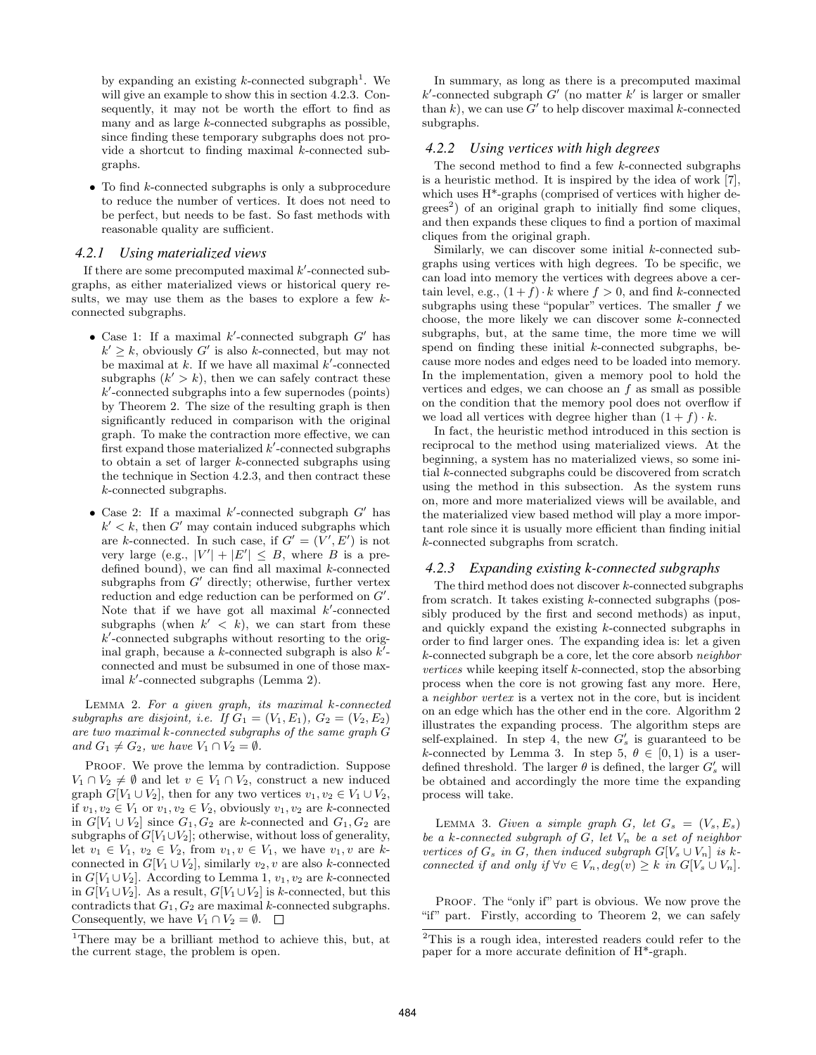by expanding an existing k-connected subgraph<sup>1</sup>. We will give an example to show this in section 4.2.3. Consequently, it may not be worth the effort to find as  $\mathbb{R}^n$  and  $\mathbb{R}^n$  as large k-connected subgraphs as possible,  $\mathbb{R}^n$  as a possible,  $\mathbb{R}^n$  ince find in  $\mathbb{R}^n$  these temporary subgraphs does not prosince these temporary subgraphs also not pro-<br>vide a shortcut to finding maximal k-connected sub-<br>graphs graphs.

• To find *k*-connected subgraphs is only a subprocedure to reduce the number of vertices. It does not need to be perfect, but needs to be fast. So fast methods with reasonable quality are sufficient. reasonable quality are sufficient.

#### *4.2.1 Using materialized views*

If there are some precomputed maximal  $k'$ <br>and as either materialized views or hist graphs, as either materialized views or historical query regraphs, we may use them as the bases to explore a few  $k$ -connected subgraphs connected subgraphs.

- Case 1: If a maximal k'-connected subgraph  $G'$ <br> $k' > k$  obviously  $G'$  is also k-connected but may  $k' \geq k$ , obviously G' is also k-connected, but may not be maximal at k. If we have all maximal k'-connected be maximal at k. If we have all maximal  $k'$ <br>subgraphs  $(k' > k)$  then we can safely con subgraphs  $(k' > k)$ , then we can safely contract these  $k'$ -connected subgraphs into a few superpodes (points) k ′ by Theorem 2. The size of the resulting graph is then significantly reduced in comparison with the original graph. To make the contraction more effective, we can graph. The contraction more materialized  $k'$ -connected subgraphs to obtain a set of larger k-connected subgraphs using to obtain a set of larger  $k$ -connected subgraphs using<br>the technique in Section 4.2.3, and then contract these  $k$ -connected subgraphs.
- Case 2: If a maximal k'-connected subgraph  $G'$ <br> $k' < k$  then  $G'$  may contain induced subgraphs w  $k' < k$ , then G' may contain induced subgraphs which<br>are k-connected In such case if  $G' = (V' \, F')$  is not are k-connected. In such case, if  $G' = (V', E')$  is not<br>very large (e.g.  $|V'| + |E'| < B$  where B is a prevery large (e.g.,  $|V'| + |E'| \leq B$ , where B is a pre-<br>defined bound) we can find all maximal k-connected defined bound), we can find all maximal  $k$ -connected subgraphs from  $G'$ <br>reduction and edge reduction and edge reduction can be performed on  $G'$ .<br>Note that if we have got all maximal k'-connected . ′ Note that if we have got all maximal k'-connected<br>subgraphs (when  $k' < k$ ), we can start from these<br> $k'$ -connected subgraphs without resorting to the origk ′ inal graph, because a k-connected subgraph is also  $k'$ -connected subgraph is also  $k'$ -connected and must be subsumed in one of those maxconnected and must be subsumed in one of those max $i$  connected subgraphs (Lemma 2).  $\frac{c_1}{c_2}$ .  $\frac{c_2}{c_1}$ .  $\frac{c_3}{c_2}$ .  $\frac{c_4}{c_3}$ .  $\frac{c_5}{c_4}$ .  $\frac{c_6}{c_5}$ .  $\frac{c_7}{c_7}$ .  $\frac{c_8}{c_8}$ .  $\frac{c_9}{c_9}$ .  $\frac{c_1}{c_1}$ .  $\frac{c_1}{c_1}$ .  $\frac{c_1}{c_1}$ .  $\frac{c_1}{c_1}$ .  $\frac{c_1}{c_1}$ .  $\frac{c_1}{c_1$

Lemma 2. *For a given graph, its maximal* <sup>k</sup>*-connected subgraphs are disjoint, i.e. If*  $G_1 = (V_1, E_1), G_2 = (V_2, E_2)$ *are two maximal* k*-connected subgraphs of the same graph* G *and*  $G_1 \neq G_2$ *, we have*  $V_1 \cap V_2 = \emptyset$ *.* 

PROOF. We prove the lemma by contradiction. Suppose  $V_1 \cap V_2 \neq \emptyset$  and let  $v \in V_1 \cap V_2$ , construct a new induced graph  $G[V_1 \cup V_2]$ , then for any two vertices  $v_1, v_2 \in V_1 \cup V_2$ , if  $v_1, v_2 \in V_1$  or  $v_1, v_2 \in V_2$ , obviously  $v_1, v_2$  are k-connected in  $G[V_1 \cup V_2]$  since  $G_1, G_2$  are k-connected and  $G_1, G_2$  are subgraphs of  $G[V_1\cup V_2]$ ; otherwise, without loss of generality, let  $v_1 \in V_1$ ,  $v_2 \in V_2$ , from  $v_1, v \in V_1$ , we have  $v_1, v$  are kconnected in  $G[V_1 \cup V_2]$ , similarly  $v_2, v$  are also k-connected in  $G[V_1\cup V_2]$ . According to Lemma 1,  $v_1, v_2$  are k-connected in  $G[V_1\cup V_2]$ . As a result,  $G[V_1\cup V_2]$  is k-connected, but this contradicts that  $G_1, G_2$  are maximal k-connected subgraphs. Consequently, we have  $V_1 \cap V_2 = \emptyset$ .  $\Box$ 

 $k'$ -connected subgraph  $G'$  (no matter  $k'$  is larger or smaller<br>than  $k$ ), we can use  $G'$  to belo discover maximal k-connected than  $k$ ), we can use  $G'$  to help discover maximal  $k$ -connected<br>subgraphs subgraphs.

#### *4.2.2 Using vertices with high degrees*

The second method to find a few  $k$ -connected subgraphs is a heuristic method. It is inspired by the idea of work  $[7]$ . which uses  $H^*$ -graphs (comprised of vertices with higher de $grees<sup>2</sup>$ ) of an original graph to initially find some cliques,<br>and then expands these cliques to find a portion of maximal and then expands these cliques to find a portion of maximal cliques from the original graph.

Similarly, we can discover some initial  $k$ -connected sub-<br>graphs using vertices with high degrees. To be specific we graphs using vertices with high degrees. To be specific, we tain level, e.g.,  $(1+f) \cdot k$  where  $f > 0$ , and find k-connected<br>subgraphs using these "popular" vertices. The smaller f we subgraphs using these "popular" vertices. The smaller  $f$  we choose, the more likely we can discover some  $k$ -connected subgraphs, but, at the same time, the more time we will spend on finding these initial  $k$ -connected subgraphs, be-<br>cause more nodes and edges need to be loaded into memory cause more nodes and edges need to be loaded into memory.<br>In the implementation, given a memory pool to hold the vertices and edges, we can choose an  $f$  as small as possible on the condition that the memory pool does not overflow if we load all vertices with degree higher than  $(1 + f) \cdot k$ .<br>In fact, the heuristic method introduced in this section is

In fact, the heuristic method introduced in this section is reciprocal to the method using materialized views. At the beginning, a system has no materialized views, so some initial k-connected subgraphs could be discovered from scratch<br>using the method in this subsection. As the system runs using the method in this subsection. As the system runs on, more and more materialized views will be available, and the materialized view based method will play a more important role since it is usually more efficient than finding initial tant role since it is usually more efficient than finding initial <sup>k</sup>-connected subgraphs from scratch.

#### *4.2.3 Expanding existing k-connected subgraphs*

The third method does not discover  $k$ -connected subgraphs from scratch. It takes existing *k*-connected subgraphs (pos-<br>sibly produced by the first and second methods) as input, and quickly expand the existing  $k$ -connected subgraphs in<br>order to find larger ones. The expanding idea is: let a given k-connected subgraph be a core, let the core absorb *neighbor*<br>*nertices* while keeping itself k-connected stop the absorbing *vertices* while keeping itself *k*-connected, stop the absorbing process when the core is not growing fast any more. Here, a *neighbor vertex* is a vertex not in the core, but is incident on an edge which has the other end in the core, Algorithm 2 on an edge which has the other end in the core. Algorithm 2 illustrates the expanding process. The algorithm steps are self-explained. In step 4, the new  $G'_s$  is guaranteed to be<br>k-connected by Lemma 3. In step 5,  $\theta \in [0, 1)$  is a usersen-explained. In step 4, the new  $G_s$  is guaranteed to be<br>k-connected by Lemma 3. In step 5,  $\theta \in [0,1)$  is a user-<br>defined threshold. The larger  $\theta$  is defined, the larger  $G'$  will defined threshold. The larger  $\theta$  is defined, the larger  $G'_{\epsilon}$ <br>be obtained and accordingly the more time the expanbe obtained and accordingly the more time the expanding  $b^{\text{process}}$  will take process will take.

LEMMA 3. *Given a simple graph*  $G$ , let  $G_s = (V_s, E_s)$ *be a* k*-connected subgraph of* G*, let* V<sup>n</sup> *be a set of neighbor vertices of*  $G_s$  *in*  $G$ *, then induced subgraph*  $G[V_s \cup V_n]$  *is*  $k$ *connected if and only if*  $\forall v \in V_n$ ,  $deg(v) \geq k$  *in*  $G[V_s \cup V_n]$ *.* 

PROOF. The "only if" part is obvious. We now prove the "if" part. Firstly, according to Theorem 2, we can safely

<sup>&</sup>lt;sup>1</sup>There may be a brilliant method to achieve this, but, at There may be a brilliant method to achieve the sixty, but, at the current stage, the problem is open.

 $2$ This is a rough idea, interested readers could refer to the This is a rough man, interested readers reader to the coupling paper for a more accurate definition of H\*-graph.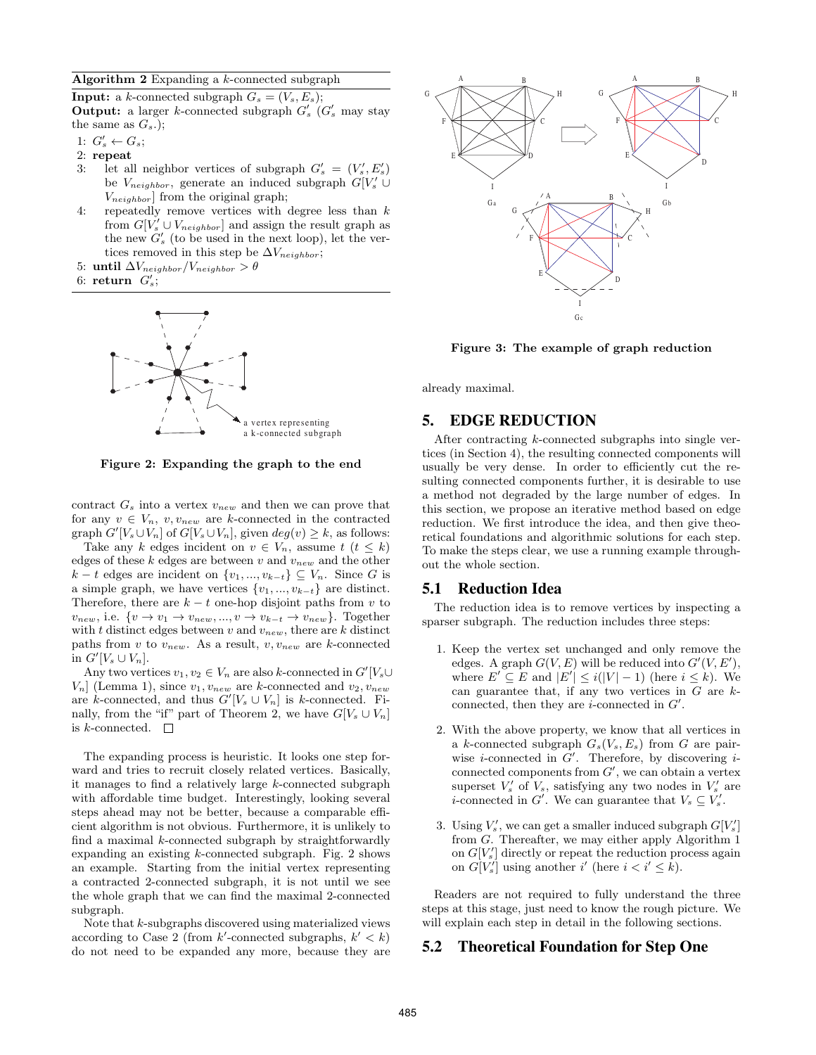#### Algorithm  $2$  Expanding a  $k$ -connected subgraph

**Input:** a k-connected subgraph  $G_s = (V_s, E_s);$ 

**Output:** a larger k-connected subgraph  $G'_{s}$  ( $G'_{s}$  may stay the same as  $G$ ). the same as  $G_s$ .);

- 1:  $G'_s \leftarrow G_s;$ <br>? repeat
- 2:  $repeat$ <br>3:  $let$  al
- 3: let all neighbor vertices of subgraph  $G'_s = (V'_s, E'_s)$ <br>be  $V = U_s$ , generate an induced subgraph  $G[V']$ be  $V_{neighbor}$ , generate an induced subgraph  $G[V'_s \cup V_{\text{out}}]$  from the original graph:  $V_{neighbor}$  from the original graph;
- 4: repeatedly remove vertices with degree less than  $k$ from  $G[V_s] \cup V_{neighbor}$  and assign the result graph as<br>the new  $G'$  (to be used in the next loop) let the verthe new  $G'_{\epsilon}$ the new  $G_s$  (to be used in the next loop), let the ver-<br>tices removed in this step be  $\Delta V_{neighbor}$ ;<br>til  $\Delta V = U_1 / V_2$  is  $\Delta V_1 = \Delta V_2$
- 5: until  $\Delta V_{neighbor}/V_{neighbor} > \theta$
- 6: return  $G'_s$ ;



Figure 2: Expanding the graph to the end

contract  $G_s$  into a vertex  $v_{new}$  and then we can prove that for any  $v \in V_n$ ,  $v, v_{new}$  are k-connected in the contracted graph  $G'[V_s \cup V_n]$  of  $G[V_s \cup V_n]$ , given  $deg(v) \geq k$ , as follows:<br>Take any k edges incident on  $v \in V$  assume  $t$   $(t \leq k)$ 

Take any k edges incident on  $v \in V_n$ , assume  $t \ (t \leq k)$ edges of these  $k$  edges are between  $v$  and  $v_{new}$  and the other  $k-t$  edges are incident on  $\{v_1, ..., v_{k-t}\} \subseteq V_n$ . Since G is a simple graph, we have vertices  $\{v_1, ..., v_{k-t}\}$  are distinct. Therefore, there are  $k - t$  one-hop disjoint paths from v to  $v_{new}$ , i.e.  $\{v \rightarrow v_1 \rightarrow v_{new}, ..., v \rightarrow v_{k-t} \rightarrow v_{new}\}.$  Together with t distinct edges between v and  $v_{new}$ , there are k distinct paths from  $v$  to  $v_{new}$ . As a result,  $v, v_{new}$  are k-connected in  $G'[V_s \cup V_n].$ <br>Any two yert

Any two vertices  $v_1, v_2 \in V_n$  are also k-connected in  $G'[V_s \cup$ <br>[(Lemma 1) since  $v_1, v_2$  are k-connected and  $v_0, v_1$  $V_n$ ] (Lemma 1), since  $v_1, v_{new}$  are k-connected and  $v_2, v_{new}$ are k-connected, and thus  $G'[V_s \cup V_n]$  is k-connected. Finally from the "if" part of Theorem 2, we have  $G[V \cup V]$ nally, from the "if" part of Theorem 2, we have  $G[V_s \cup V_n]$ is k-connected.  $\square$ 

The expanding process is heuristic. It looks one step for-<br>ward and tries to recruit closely related vertices. Basically, it manages to find a relatively large  $k$ -connected subgraph<br>with affordable time budget. Interestingly, looking several with affordable time budget. Interestingly, looking several steps ahead may not be better, because a comparable efficient algorithm is not obvious. Furthermore, it is unlikely to find a maximal k-connected subgraph by straightforwardly  $\epsilon$  and  $\epsilon$  obvious. Furthermore,  $\epsilon$  is under the  $\epsilon$  of  $\epsilon$  of  $\epsilon$  of  $\epsilon$  of  $\epsilon$  of  $\epsilon$  of  $\epsilon$  of  $\epsilon$  of  $\epsilon$  of  $\epsilon$  of  $\epsilon$  of  $\epsilon$  of  $\epsilon$  of  $\epsilon$  o expanding an existing k-connected subgraph. Fig. 2 shows<br>an example. Starting from the initial vertex representing a contracted 2-connected subgraph, it is not until we see the whole graph that we can find the maximal 2-connected  $\frac{1}{2}$  that we can find the maximal  $\frac{1}{2}$  -connected the maximal  $\frac{1}{2}$ 

Note that k-subgraphs discovered using materialized views<br>according to Case 2 (from k'-connected subgraphs  $k' < k$ ) according to Case 2 (from k'-connected subgraphs,  $k' < k$ )<br>do not need to be expanded any more, because they are do not need to be expanded any more, because they are



Figure 3: The example of graph reduction

already maximal.

#### **5. EDGE REDUCTION**

After contracting  $k$ -connected subgraphs into single vertices (in Section 4), the resulting connected components will usually be very dense. In order to efficiently cut the resulting connected components further, it is desirable to use a method not degraded by the large number of edges. In this section, we propose an iterative method based on edge. reduction. We first introduce the idea, and then give theoretical foundations and algorithmic solutions for each step. To make the steps clear, we use a running example through-To make the steps clear, we use a running example through-

#### **5.1 Reduction Idea**

 $\frac{1}{2}$  arser subgraph. The reduction includes three steps: spaces subgraph. The reduction includes the reduction includes the reduction includes the steps:

- edges. A graph  $G(V, E)$  will be reduced into  $G'(V, E')$ ,<br>where  $F' \subseteq E$  and  $|F'| \leq i(|V|-1)$  (here  $i \leq k$ ). We where  $E' \subseteq E$  and  $|E'| \leq i(|V|-1)$  (here  $i \leq k$ ). We<br>can guarantee that if any two vertices in G are kcan guarantee that, if any two vertices in  $G$  are  $k$ connected, then they are *i*-connected in  $G'$
- 2. With the above property, we know that a k-connected subgraph  $G_s(V_s, E_s)$  from G are pair-<br>wise i-connected in  $G'$ . Therefore, by discovering iwise *i*-connected in  $G'$ . Therefore, by discovering *i*-connected components from  $G'$  we can obtain a vertex connected components from  $G'$ <br>superset  $V'$  of  $V$  satisfying a superset  $V'_s$  of  $V_s$ , satisfying any two nodes in  $V'_s$  are<br>i.connected in  $G'$ . We can quarantee that  $V \subset V'$ *i*-connected in G'. We can guarantee that  $V_s \subseteq V'_s$ .
- 3. Using  $V'_s$ , we can get a smaller induced subgraph  $G[V'_s]$  from  $G$ . Thereafter, we may either apply Algorithm 1 from <sup>G</sup>. Thereafter, we may either apply Algorithm 1 on  $G[V'_s]$ on  $G[V_s]$  unectly or repeat the reduction process again<br>on  $G[V'_s]$  using another i' (here  $i < i' \leq k$ ).

Readers are not required to fully understand the three steps at this stage, just need to know the rough picture. We  $\frac{1}{2}$  state at the stage,  $\frac{1}{2}$  in detail in the following sections. will explain the following step in the following section  $\mathfrak{g}$ 

#### **5.2 Theoretical Foundation for Step One**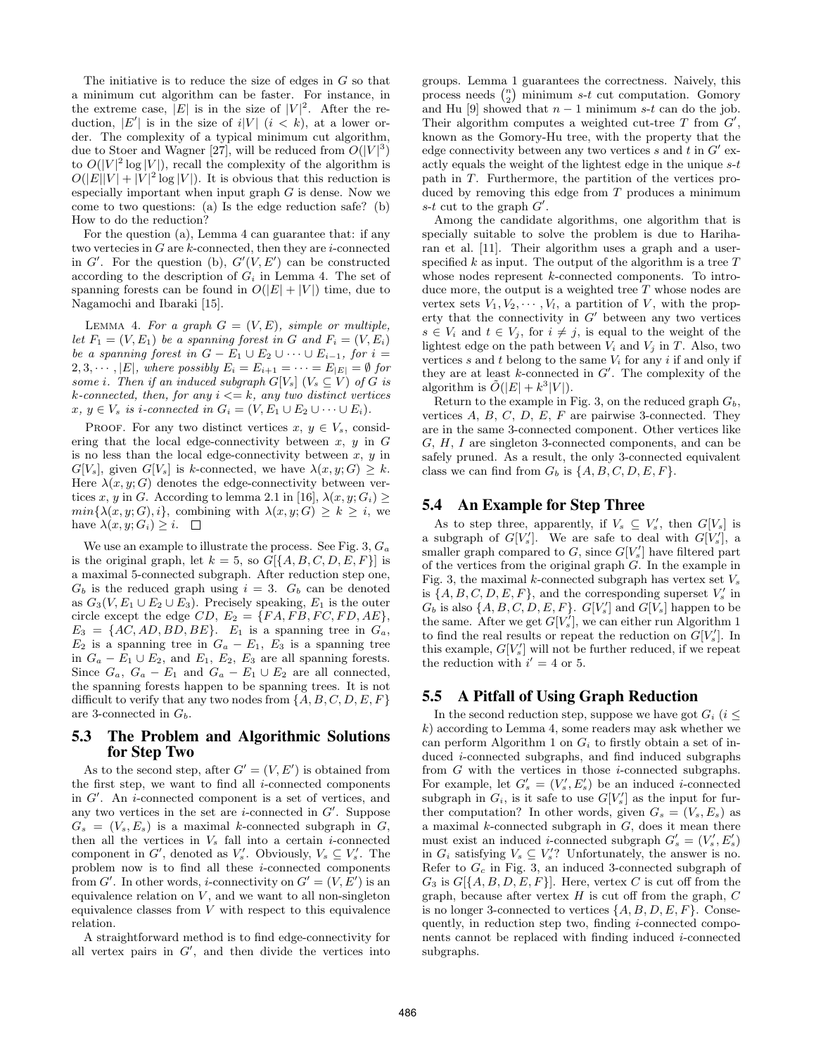The initiative is to reduce the size of edges in  $G$  so that a minimum cut algorithm can be faster. For instance, in the extreme case,  $|E|$  is in the size of  $|V|^2$ . After the reduction  $|E'|$  is in the size of  $i|V|$   $(i < k)$  at a lower or duction,  $|E'|$  is in the size of  $i|V|$   $(i < k)$ , at a lower or-<br>der. The complexity of a typical minimum cut algorithm due to Stoer and Wagner [27], will be reduced from  $O(|V|^3)$ <br>to  $O(|V|^2 \log |V|)$ , recall the complexity of the algorithm is to  $O(|V|^2 \log |V|)$ , recall the complexity of the algorithm is<br> $O(|E||V| + |V|^2 \log |V|)$ . It is owious that this reduction is  $O(|E||V| + |V|^2 \log |V|)$ . It is obvious that this reduction is especially important when input graph G is dense. Now we especially important when input graph  $G$  is dense. Now we come to two questions: (a) Is the edge reduction safe? (b) How to do the reduction?

For the question (a), Lemma  $4$  can guarantee that: if any For the question (a), Lemma 4 can guarantee that  $G'$  are k-connected, then they are *i*-connected<br>in  $G'$ . For the question (b),  $G'(V, F')$  can be constructed in  $G'$ . For the question (b),  $G'(V, E')$ <br>according to the description of  $G_{\pm}$  in according to the description of  $G_i$  in Lemma 4. The set of<br>spanning forests can be found in  $O(|E| + |V|)$  time, due to spanning forests can be found in  $O(|E| + |V|)$  time, due to Nagamochi and Ibaraki [15].

LEMMA 4. For a graph  $G = (V, E)$ , simple or multiple, *let*  $F_1 = (V, E_1)$  *be a spanning forest in G and*  $F_i = (V, E_i)$ *be a spanning forest in*  $G - E_1 \cup E_2 \cup \cdots \cup E_{i-1}$ , for  $i =$ 2, 3,  $\cdots$ , |E|, where possibly  $E_i = E_{i+1} = \cdots = E_{|E|} = \emptyset$  for *some i*. Then if an induced subgraph  $G[V_s]$  ( $V_s \subseteq V$ ) of G is  $k$ -connected, then, for any  $i \leq k$ , any two distinct vertices  $x, y \in V_s$  *is i-connected in*  $G_i = (V, E_1 \cup E_2 \cup \cdots \cup E_i)$ *.* 

PROOF. For any two distinct vertices  $x, y \in V_s$ , considering that the local edge-connectivity between  $x, y$  in  $G$ is no less than the local edge-connectivity between  $x, y$  in  $G[V_s]$ , given  $G[V_s]$  is k-connected, we have  $\lambda(x, y; G) \geq k$ . Here  $\lambda(x, y; G)$  denotes the edge-connectivity between vertices x, y in G. According to lemma 2.1 in [16],  $\lambda(x, y; G_i) \geq$  $min{\{\lambda(x, y; G), i\}}$ , combining with  $\lambda(x, y; G) \geq k \geq i$ , we have  $\lambda(x, y; G_i) \geq i$ .  $\Box$ 

We use an example to illustrate the process. See Fig. 3,  $G_a$ is the original graph, let  $k = 5$ , so  $G[{A, B, C, D, E, F}]$  is a maximal 5-connected subgraph. After reduction step one,  $G_b$  is the reduced graph using  $i = 3$ .  $G_b$  can be denoted as  $G_c(V, E_c \cup E_c)$ . Precisely speaking  $E_c$  is the outer as  $G_3(V, E_1 \cup E_2 \cup E_3)$ . Precisely speaking,  $E_1$  is the outer circle except the edge  $CD$ ,  $E_2 = \{FA, FB, FC, FD, AE\},\$  $E_3 = \{AC, AD, BD, BE\}.$   $E_1$  is a spanning tree in  $G_a$ ,  $E_2$  is a spanning tree in  $G_a - E_1$ ,  $E_3$  is a spanning tree in  $G_a - E_1 \cup E_2$ , and  $E_1, E_2, E_3$  are all spanning forests. Since  $G_a$ ,  $G_a - E_1$  and  $G_a - E_1 \cup E_2$  are all connected, the spanning forests happen to be spanning trees. It is not difficult to verify that any two nodes from  $\{A, B, C, D, E, F\}$ <br>are 3-connected in  $G$ . are 3-connected in  $G_b$ .

# **5.3 The Problem and Algorithmic Solutions for Step Two**

As to the second step, after  $G' = (V, E')$ <br>e first step, we want to find all *i*-conn the first step, we want to find all *i*-connected components<br>in  $G'$  An *i*-connected component is a set of vertices and in  $G'$ . An *i*-connected component is a set of vertices, and<br>any two vertices in the set are *i*-connected in  $G'$ . Suppose any two vertices in the set are *i*-connected in  $G'$ <br> $G = (V, E)$  is a maximal *k*-connected subgr  $G_s = (V_s, E_s)$  is a maximal k-connected subgraph in  $G_s$ <br>then all the vertices in  $V_s$  fall into a certain *i*-connected then all the vertices in  $V_s$  fall into a certain *i*-connected component in G', denoted as  $V'_s$ . Obviously,  $V_s \subseteq V'_s$ <br>problem now is to find all these *i*-connected compo component in G, denoted as  $v_s$ . Obviously,  $v_s \subseteq v_s$ . The<br>problem now is to find all these *i*-connected components<br>from  $G'$  In other words *i*-connectivity on  $G' = (V, F')$  is an from G'. In other words, *i*-connectivity on  $G' = (V, E')$ <br>equivalence relation on V, and we want to all non-sin equivalence relation on  $V$ , and we want to all non-singleton equivalence classes from  $V$  with respect to this equivalence equivalence classes from  $V$  with respect to this equivalence relation.

A straightforward method is to find edge-connectivity for A straightforward method is to find edge-connectivity for all vertex pairs in  $G'$ , and then divide the vertices into , and then divide the vertices into

process needs  $\binom{n}{2}$  minimum s-t cut computation. Gomory and Hu [9] showed that  $n-1$  minimum s-t can do the job. Their algorithm computes a weighted cut-tree  $T$  from  $G'$ <br>known as the Gomory-Hu tree, with the property that the known as the Gomory-Hu tree, with the property that the edge connectivity between any two vertices s and t in  $G'$  ex-<br>actly equals the weight of the lightest edge in the unique s-t ex-<br>actly equals the weight of the lightest edge in the unique s-t<br>path in  $T$ . Eurthermore, the partition of the vertices propath in <sup>T</sup>. Furthermore, the partition of the vertices produced by removing this edge from  $T$  produces a minimum s-t cut to the graph  $G'$ <br>Among the candidate

Among the candidate algorithms, one algorithm that is specially suitable to solve the problem is due to Hariharan et al. [11]. Their algorithm uses a graph and a userspecified k as input. The output of the algorithm is a tree  $T$ <br>whose nodes represent k-connected components. To introwhose nodes represent *k*-connected components. To introduce more, the output is a weighted tree  $T$  whose nodes are vertex sets  $V_1, V_2, \cdots, V_l$ , a partition of V, with the property that the connectivity in  $G'$ <br>s  $\in V$  and  $t \in V$  for  $i \neq i$  is  $s \in V_i$  and  $t \in V_j$ , for  $i \neq j$ , is equal to the weight of the lightest edge on the path between  $V_i$  and  $V_i$  in  $T$ . Also, two lightest edge on the path between  $V_i$  and  $V_j$  in T. Also, two vertices  $s$  and  $t$  belong to the same  $V_i$  for any  $i$  if and only if they are at least k-connected in  $G'$ <br>algorithm is  $\tilde{O}(|E| + k^3 |V|)$ . The complexity of the algorithm is  $\tilde{O}(|E| + k^3|V|)$ .<br>Return to the example in 1

Return to the example in Fig. 3, on the reduced graph  $G_b$ , vertices  $A, B, C, D, E, F$  are pairwise 3-connected. They are in the same 3-connected component. Other vertices like  $G, H, I$  are singleton 3-connected components, and can be safely pruned. As a result, the only 3-connected equivalent class we can find from  $G_b$  is  $\{A, B, C, D, E, F\}$ .

#### **5.4 An Example for Step Three**

As to step three, apparently, if  $V_s \subseteq V'_s$ , then  $G[V_s]$  is<br>subgraph of  $G[V']$ . We are safe to deal with  $G[V']$ a subgraph of  $G[V'_s]$ . We are safe to deal with  $G[V'_s]$ <br>smaller graph compared to  $G$  since  $G[V']$  have filtered a subgraph of  $G[V_s]$ . We are safe to deal with  $G[V_s]$ , a<br>smaller graph compared to G, since  $G[V'_s]$  have filtered part<br>of the vertices from the original graph G. In the example in smaller graph compared to G, since  $G[V_s]$  have intered part<br>of the vertices from the original graph G. In the example in<br>Fig. 3, the maximal k-connected subgraph has vertex set V Fig. 3, the maximal k-connected subgraph has vertex set  $V_s$ is  $\{A, B, C, D, E, F\}$ , and the corresponding superset  $V'_{s}$ <br>  $G_{t}$  is also  $\{A, B, C, D, E, F\}$ ,  $G[V']$  and  $G[V]$  happen to is  $\{A, B, C, D, E, F\}$ , and the corresponding superset  $v_s$  in<br>  $G_b$  is also  $\{A, B, C, D, E, F\}$ .  $G[V'_s]$  and  $G[V_s]$  happen to be<br>
the same. After we get  $G[V']$  we can either run Algorithm 1 the same. After we get  $G[V'_s]$ <br>to find the real results or re the same. After we get  $G[V_s]$ , we can either run Algorithm 1<br>to find the real results or repeat the reduction on  $G[V'_s]$ . In<br>this example  $G[V']$  will not be further reduced if we repeat to find the real results of repeat the reduction on  $G[V_s]$  will not be further reduced, if we repeat<br>the reduction with  $i' = 4$  or 5 the reduction with  $i'$ = 4 or 5.

# **5.5 A Pitfall of Using Graph Reduction**

In the second reduction step, suppose we have got  $G_i$  (i  $\leq$ <sup>k</sup>) according to Lemma 4, some readers may ask whether we can perform Algorithm 1 on  $G_i$  to firstly obtain a set of induced <sup>i</sup>-connected subgraphs, and find induced subgraphs from  $G$  with the vertices in those  $i$ -connected subgraphs. For example, let  $G'_s = (V'_s, E'_s)$  be an induced *i*-connected<br>subgraph in  $G_s$  is it safe to use  $G[V']$  as the input for fursubgraph in  $G_i$ , is it safe to use  $G[V'_s]$ <br>ther computation? In other words, or subgraph in  $G_i$ , is it sale to use  $G[v_s]$  as the input for fur-<br>ther computation? In other words, given  $G_s = (V_s, E_s)$  as<br>a maximal k-connected subgraph in G does it mean there a maximal  $k$ -connected subgraph in  $G$ , does it mean there must exist an induced *i*-connected subgraph  $G'_s = (V'_s, E'_s)$ <br>in  $G_s$  satisfying  $V \subset V'^2$ . Unfortunately, the answer is no must exist an induced *i*-connected subgraph  $G_s = (v_s, E_s)$ <br>in  $G_i$  satisfying  $V_s \subseteq V'_s$ ? Unfortunately, the answer is no. In  $G_i$  sauslying  $v_s \subseteq v_s$ : Omortunately, the answer is no.<br>Refer to  $G_c$  in Fig. 3, an induced 3-connected subgraph of  $G_s$  is  $G[A \mid B \mid D \mid E \mid F]$ .  $G_3$  is  $G[\{A, B, D, E, F\}]$ . Here, vertex C is cut off from the graph, because after vertex  $H$  is cut off from the graph,  $C$ is no longer 3-connected to vertices  $\{A, B, D, E, F\}$ . Consequently, in reduction step two, finding <sup>i</sup>-connected components cannot be replaced with finding induced <sup>i</sup>-connected subgraphs.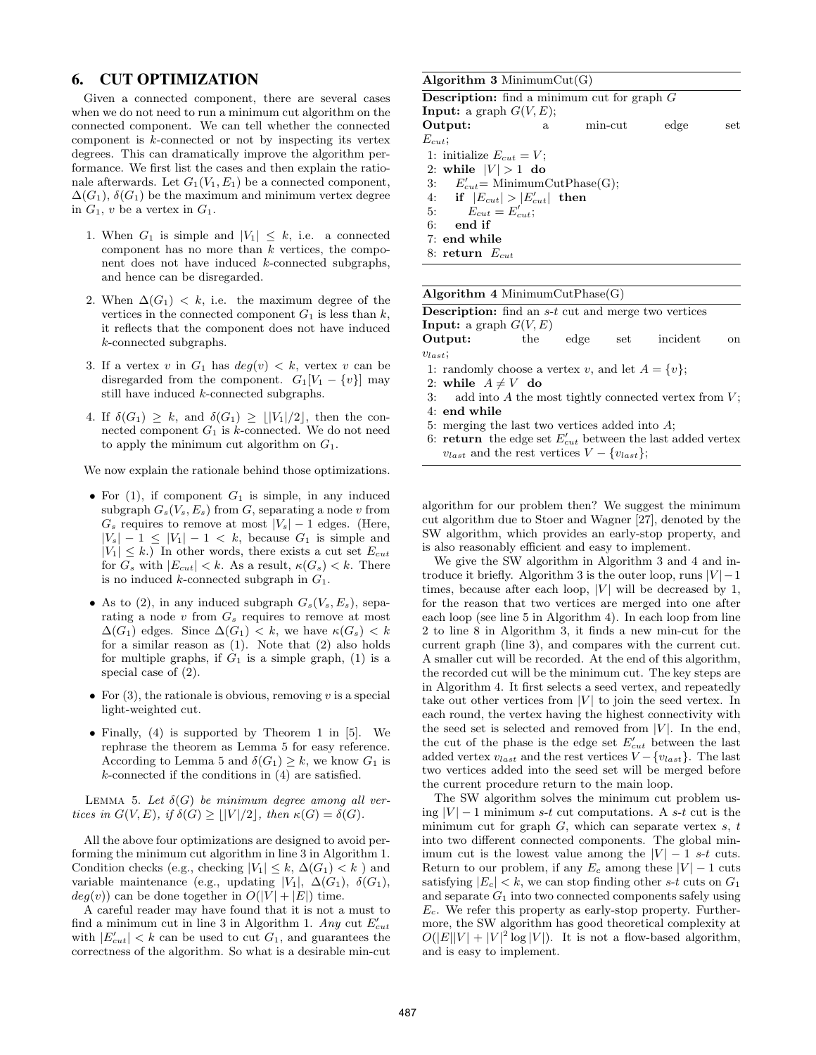# **6. CUT OPTIMIZATION**

Given a connected component, there are several cases<br>when we do not need to run a minimum cut algorithm on the connected component. We can tell whether the connected component is  $k$ -connected or not by inspecting its vertex<br>degrees. This can dramatically improve the algorithm perdegrees. This can dramatically improve the algorithm per-<br>formance. We first list the cases and then explain the rationale afterwards. Let  $G_1(V_1, E_1)$  be a connected component,  $\Delta(G_1), \delta(G_2)$  be the maximum and minimum vertex degree  $\Delta(G_1)$ ,  $\delta(G_1)$  be the maximum and minimum vertex degree in  $G_1$ , v be a vertex in  $G_1$ .

- 1. When  $G_1$  is simple and  $|V_1| \leq k$ , i.e. a connected component has no more than  $k$  vertices, the component does not have induced <sup>k</sup>-connected subgraphs, and hence can be disregarded.
- 2. When  $\Delta(G_1) < k$ , i.e. the maximum degree of the vertices in the connected component  $G_1$  is less than  $k$ , it reflects that the component does not have induced  $k$ -connected subgraphs.
- 3. If a vertex v in  $G_1$  has  $deg(v) < k$ , vertex v can be disregarded from the component.  $G_1[V_1 - \{v\}]$  may still have induced <sup>k</sup>-connected subgraphs.
- 4. If  $\delta(G_1) \geq k$ , and  $\delta(G_1) \geq \lfloor |V_1|/2 \rfloor$ , then the connected component  $G_1$  is k-connected. We do not need to apply the minimum cut algorithm on  $G_1$ .

We now explain the rationale behind those optimizations.

- For  $(1)$ , if component  $G_1$  is simple, in any induced subgraph  $G_s(V_s, E_s)$  from G, separating a node v from  $G_s$  requires to remove at most  $|V_s| - 1$  edges. (Here,  $|V_s| - 1 \leq |V_1| - 1 \leq k$ , because  $G_1$  is simple and  $|V_1| \leq k$ .) In other words, there exists a cut set  $E_{cut}$ for  $G_s$  with  $|E_{cut}| < k$ . As a result,  $\kappa(G_s) < k$ . There is no induced k-connected subgraph in  $G_1$ .
- As to (2), in any induced subgraph  $G_s(V_s, E_s)$ , separating a node  $v$  from  $G_s$  requires to remove at most  $\Delta(G_1)$  edges. Since  $\Delta(G_1) < k$ , we have  $\kappa(G_s) < k$  for a similar reason as (1). Note that (2) also holds for multiple graphs, if  $G_1$  is a simple graph, (1) is a special case of (2) special case of (2).
- For  $(3)$ , the rationale is obvious, removing v is a special light-weighted cut. light-weighted cut.
- Finally, (4) is supported by Theorem 1 in [5]. We rephrase the theorem as Lemma 5 for easy reference. According to Lemma 5 and  $\delta(G_1) \geq k$ , we know  $G_1$  is k-connected if the conditions in (4) are satisfied  $k$ -connected if the conditions in  $(4)$  are satisfied.

LEMMA 5. Let  $\delta(G)$  be minimum degree among all ver*tices in*  $G(V, E)$ *, if*  $\delta(G) \geq ||V|/2$ , then  $\kappa(G) = \delta(G)$ *.* 

All the above four optimizations are designed to avoid per-<br>forming the minimum cut algorithm in line 3 in Algorithm 1. Condition checks (e.g., checking  $|V_1| \leq k$ ,  $\Delta(G_1) < k$ ) and<br>variable maintenance (e.g., undating  $|V_1| \Delta(G_1) \delta(G_1)$ ) variable maintenance (e.g., updating |V<sub>1</sub>|,  $\Delta(G_1)$ ,  $\delta(G_1)$ ,  $deg(v)$  can be done together in  $O(|V| + |E|)$  time.<br>A careful reader may have found that it is not a must to

find a minimum cut in line 3 in Algorithm 1. *Any* cut  $E'_{cut}$ <br>with  $|E'_{-}| < k$  can be used to cut  $G_{z}$ , and guarantees the with  $|E'_{cut}| < k$  can be used to cut  $G_1$ , and guarantees the correctness of the algorithm. So what is a desirable min-cut correctness of the algorithm. So what is a desirable min-cut

# Algorithm  $3$  MinimumCut(G) **Description:** find a minimum cut for graph  $G$

| $\sim$ 0.000 $\mu$ 0.000 $\mu$ . The contribution of $\mu$ 0.000 $\mu$ |    |           |      |     |
|------------------------------------------------------------------------|----|-----------|------|-----|
| <b>Input:</b> a graph $G(V, E)$ ;                                      |    |           |      |     |
| Output:                                                                | a. | $min-cut$ | edge | set |
| $E_{cut}$                                                              |    |           |      |     |
| 1: initialize $E_{cut} = V$ ;                                          |    |           |      |     |
| 2: while $ V  > 1$ do                                                  |    |           |      |     |
| 3: $E'_{cut}$ = MinimumCutPhase(G);                                    |    |           |      |     |
| 4: if $ E_{cut}  >  E'_{cut} $ then                                    |    |           |      |     |
| 5: $E_{cut} = E'_{cut};$                                               |    |           |      |     |
| 6:<br>end if                                                           |    |           |      |     |
| 7: end while                                                           |    |           |      |     |
| 8: return $E_{cut}$                                                    |    |           |      |     |
|                                                                        |    |           |      |     |

| Algorithm 4 Minimum $CutPhase(G)$                               |     |               |              |    |
|-----------------------------------------------------------------|-----|---------------|--------------|----|
| <b>Description:</b> find an s-t cut and merge two vertices      |     |               |              |    |
| <b>Input:</b> a graph $G(V, E)$                                 |     |               |              |    |
| Output:                                                         | the | $_{\rm edge}$ | set incident | οn |
| $v_{last}$                                                      |     |               |              |    |
| 1: randomly choose a vertex v, and let $A = \{v\};$             |     |               |              |    |
| 2: while $A \neq V$ do                                          |     |               |              |    |
| 3: add into A the most tightly connected vertex from $V$ ;      |     |               |              |    |
| $4:$ end while                                                  |     |               |              |    |
| 5: merging the last two vertices added into $A$ ;               |     |               |              |    |
| 6: return the edge set $E'_{cut}$ between the last added vertex |     |               |              |    |
| $v_{last}$ and the rest vertices $V - \{v_{last}\};$            |     |               |              |    |

algorithm for our problem then? We suggest the minimum cut algorithm due to Stoer and Wagner [27], denoted by the SW algorithm, which provides an early-stop property, and is also reasonably efficient and easy to implement.

We give the SW algorithm in Algorithm 3 and 4 and introduce it briefly. Algorithm 3 is the outer loop, runs  $|V| - 1$ <br>times, because after each loop.  $|V|$  will be decreased by 1 times, because after each loop,  $|V|$  will be decreased by 1, for the reason that two vertices are merged into one after each loop (see line 5 in Algorithm 4). In each loop from line 2 to line 8 in Algorithm 3, it finds a new min-cut for the current graph (line 3), and compares with the current cut. A smaller cut will be recorded. At the end of this algorithm, the recorded cut will be the minimum cut. The key steps are in Algorithm 4. It first selects a seed vertex, and repeatedly take out other vertices from  $|V|$  to join the seed vertex. In each round the vertex having the highest connectivity with the seed set is selected and removed from |V|. In the end,<br>the cut of the phase is the edge set  $F'$ , between the last the cut of the phase is the edge set  $E'_{c}$ <br>added vertex  $v_{c}$ , and the rest vertices the cut of the phase is the edge set  $E_{cut}$  between the last<br>added vertex  $v_{last}$  and the rest vertices  $V - \{v_{last}\}$ . The last<br>two vertices added into the seed set will be merged before two vertices added into the seed set will be merged before the current procedure return to the main loop.

The SW algorithm solves the minimum cut problem us- $T_{\text{max}} |V| - 1$  minimum s-t cut computations. A s-t cut is the minimum cut for graph  $G$ , which can separate vertex s t minimum cut for graph  $G$ , which can separate vertex  $s$ ,  $t$  into two different connected components. The global minimum cut is the lowest value among the  $|V| - 1$  s-t cuts.<br>Return to our problem if any E among these  $|V| - 1$  cuts. Return to our problem, if any  $E_c$  among these  $|V| - 1$  cuts satisfying  $|E_c| < k$ , we can stop finding other s-t cuts on  $G_1$ and separate  $G_1$  into two connected components safely using  $E_c$ . We refer this property as early-stop property. Furthermore, the SW algorithm has good theoretical complexity at  $O(|E||V| + |V|^2 \log |V|)$ . It is not a flow-based algorithm, and is easy to implement.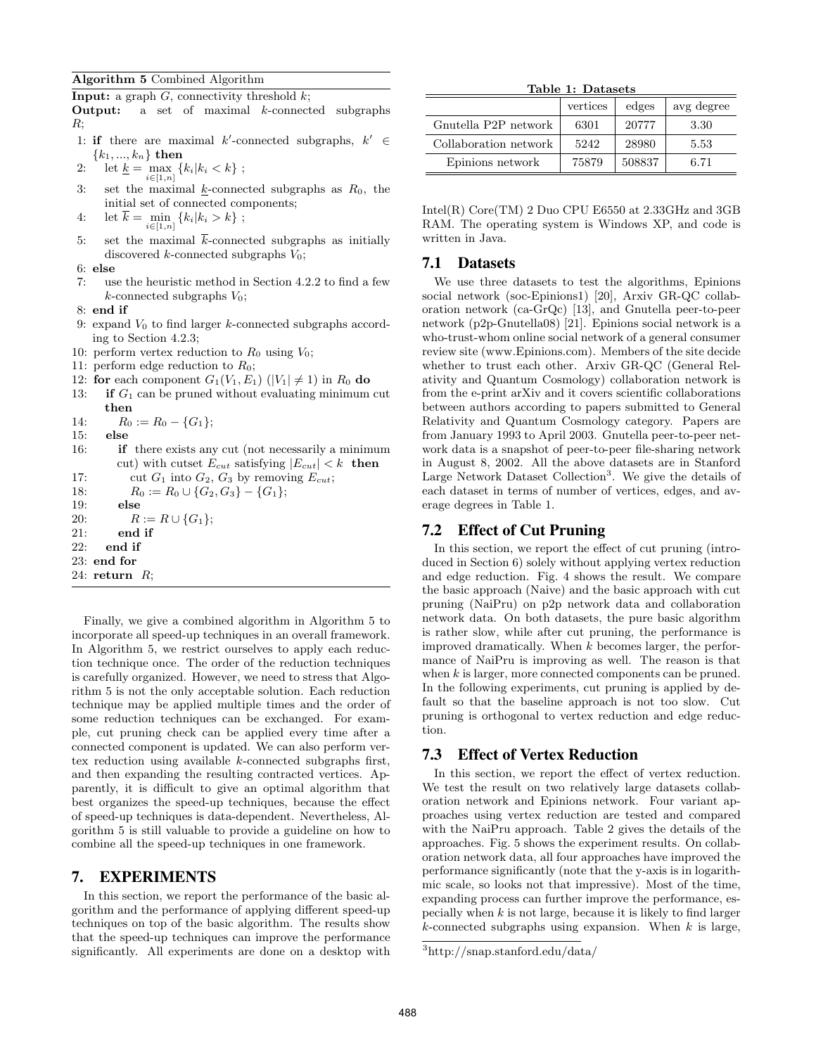**Input:** a graph  $G$ , connectivity threshold  $k$ ;

Output: a set of maximal <sup>k</sup>-connected subgraphs R;

- 1: if there are maximal  $k'$ -connected subgraphs,  $k' \in$ <br> $\{k, \ldots, k\}$  then  ${k_1, ..., k_n}$  then
- 2: let  $\underline{k} = \max_{i \in [1,n]} \{k_i | k_i < k\}$ ;
- 3: set the maximal  $k$ -connected subgraphs as  $R_0$ , the initial set of connected components;
- 4: let  $\overline{k} = \min_{i \in [1,n]} \{k_i | k_i > k\}$ ;
- 5: set the maximal  $\overline{k}$ -connected subgraphs as initially discovered k-connected subgraphs  $V_0$ ;
- 
- 6: **else**<br>7: use the heuristic method in Section 4.2.2 to find a few  $k$ -connected subgraphs  $V_0$ ;<br>8. end if
- 8: end if
- 9: expand  $V_0$  to find larger *k*-connected subgraphs according to Section 4.2.3:
- ing to the section 4.2.3; in the Section 4.2.3;  $V_0$ ;<br>11: perform edge reduction to  $R_0$ ;
- 11: perform edge reduction to  $R_0$ ;
- 12: **for** each component  $G_1(V_1, E_1)$  ( $|V_1| \neq 1$ ) in  $R_0$  **do** 13: **if**  $G_1$  can be pruned without evaluating minimum
- if  $G_1$  can be pruned without evaluating minimum cut then
- 14:  $R_0 := R_0 \{G_1\};$ <br>15: **else**
- 
- 15:  $else$ <br>16:  $if$ if there exists any cut (not necessarily a minimum cut) with cutset  $E_{cut}$  satisfying  $|E_{cut}| < k$  then
- 17: cut  $G_1$  into  $G_2$ ,  $G_3$  by removing  $E_{cut}$ ;<br>18:  $R_0 := R_0 \cup \{G_2, G_3\} \{G_1\};$
- 18:  $R_0 := R_0 \cup \{G_2, G_3\} \{G_1\};$ <br>19: **else**
- 
- 19: else<br>
20:  $R$ 20:  $R := R \cup \{G_1\};$ <br>21: end if
- 21: end if<br>  $22:$  end if
- $22:$  end if<br> $23:$  end for
- $23:$  end for<br> $24:$  return
- 24: return  $R$ :

Finally, we give a combined algorithm in Algorithm 5 to incorporate all speed-up techniques in an overall framework. In Algorithm 5, we restrict ourselves to apply each reduction technique once. The order of the reduction techniques is carefully organized. However, we need to stress that Algorithm 5 is not the only acceptable solution. Each reduction technique may be applied multiple times and the order of some reduction techniques can be exchanged. For example, cut pruning check can be applied every time after a connected component is updated. We can also perform vertex reduction using available  $k$ -connected subgraphs first,<br>and then expanding the resulting contracted vertices. Apand then expanding the resulting contracted vertices. Apparently, it is difficult to give an optimal algorithm that best organizes the speed-up techniques, because the effect of speed-up techniques is data-dependent. Nevertheless, Algorithm 5 is still valuable to provide a guideline on how to combine all the speed-up techniques in one framework. combine all the speed-up techniques in one framework.

#### **7. EXPERIMENTS**

In this section, we report the performance of the basic algorithm and the performance of applying different speed-up techniques on top of the basic algorithm. The results show that the speed-up techniques can improve the performance that the speed-up techniques can improve the performance significantly. All experiments are done on a desktop with

Table 1: Datasets

|                       | vertices | edges  | avg degree |
|-----------------------|----------|--------|------------|
| Gnutella P2P network  | 6301     | 20777  | 3.30       |
| Collaboration network | 5242     | 28980  | 5.53       |
| Epinions network      | 75879    | 508837 | 6.71       |

 $PAM$  The operating system is Windows  $XP$  and code is RAMAR THE operating system is Windows III, and code is written in Java.

#### **7.1 Datasets**

We use three datasets to test the algorithms, Epinions social network (soc-Epinions1) [20], Arxiv GR-QC collaboration network (ca-GrQc) [13], and Gnutella peer-to-peer network (p2p-Gnutella 08) [21]. Epinions social network is a who-trust-whom online social network of a general consumer review site (www.Epinions.com). Members of the site decide whether to trust each other. Arxiv GR-QC (General Relativity and Quantum Cosmology) collaboration network is from the e-print arXiv and it covers scientific collaborations between authors according to papers submitted to General Relativity and Quantum Cosmology category. Papers are from January 1993 to April 2003. Gnutella peer-to-peer network data is a snapshot of peer-to-peer file-sharing network in August 8, 2002. All the above datasets are in Stanford Large Network Dataset Collection<sup>3</sup>. We give the details of<br>each dataset in terms of number of vertices edges and aveach dataset in terms of number of vertices, edges, and aveach dataset in terms of number of vertices, edges, and average degrees in Table 1.

#### **7.2 Effect of Cut Pruning**

In this section, we report the effect of cut pruning (intro-<br>duced in Section 6) solely without applying vertex reduction and edge reduction. Fig. 4 shows the result. We compare the basic approach (Naive) and the basic approach with cut pruning (NaiPru) on p2p network data and collaboration network data. On both datasets, the pure basic algorithm is rather slow, while after cut pruning, the performance is improved dramatically. When k becomes larger, the perfor-<br>mance of NaiPru is improving as well. The reason is that when k is larger, more connected components can be pruned.<br>In the following experiments, cut pruning is applied by de-In the following experiments, cut pruning is applied by default so that the baseline approach is not too slow. Cut fault so that the baseline approach is not too slow. Cut pruning is orthogonal to vertex reduction and edge reduc-

#### **7.3 Effect of Vertex Reduction**

In this section, we report the effect of vertex reduction.<br>We test the result on two relatively large datasets collaboration network and Epinions network. Four variant approaches using vertex reduction are tested and compared with the NaiPru approach. Table 2 gives the details of the approaches. Fig. 5 shows the experiment results. On collaboration network data, all four approaches have improved the performance significantly (note that the y-axis is in logarithmic scale, so looks not that impressive). Most of the time, expanding process can further improve the performance, especially when k is not large, because it is likely to find larger<br>k-connected subgraphs using expansion. When k is large  $k$ -connected subgraphs using expansion. When  $k$  is large,

<sup>3</sup> $\mathbf{r}$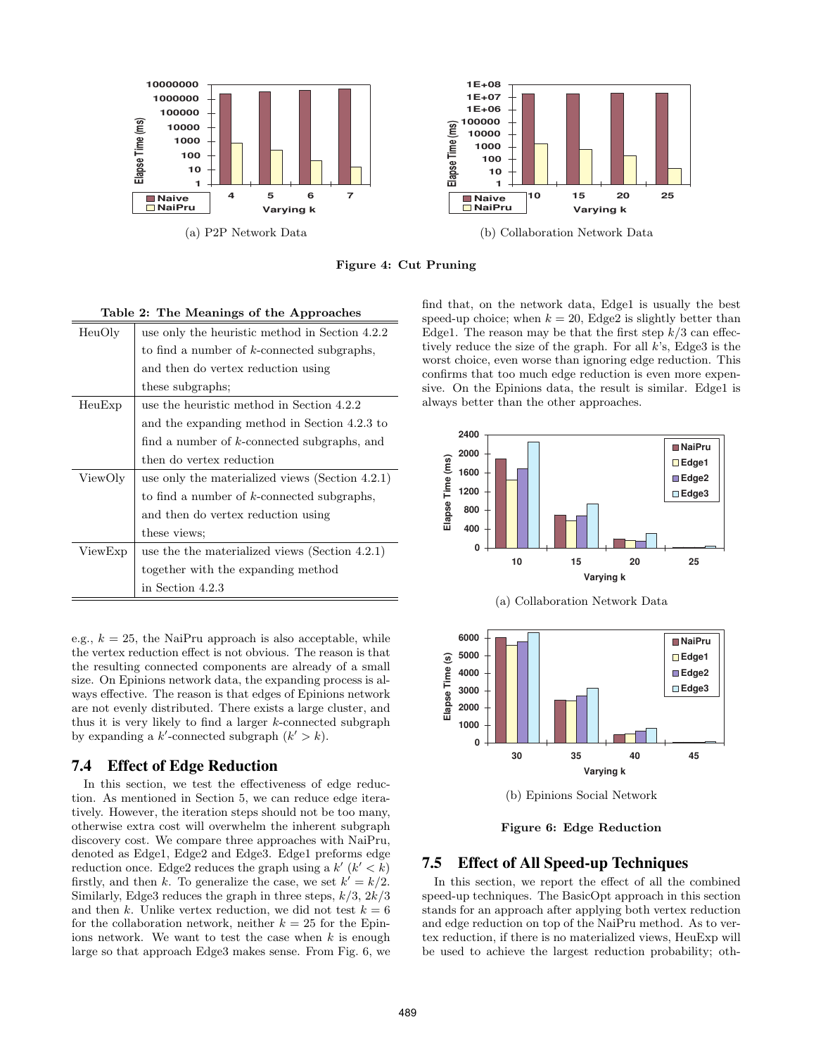



|  |  | Table 2: The Meanings of the Approaches |
|--|--|-----------------------------------------|
|  |  |                                         |

| HeuOly  | use only the heuristic method in Section 4.2.2  |
|---------|-------------------------------------------------|
|         | to find a number of $k$ -connected subgraphs,   |
|         | and then do vertex reduction using              |
|         | these subgraphs;                                |
| HeuExp  | use the heuristic method in Section 4.2.2       |
|         | and the expanding method in Section 4.2.3 to    |
|         | find a number of $k$ -connected subgraphs, and  |
|         | then do vertex reduction                        |
| ViewOly | use only the materialized views (Section 4.2.1) |
|         | to find a number of $k$ -connected subgraphs,   |
|         | and then do vertex reduction using              |
|         | these views;                                    |
| ViewExp | use the the materialized views (Section 4.2.1)  |
|         | together with the expanding method              |
|         | in Section 4.2.3                                |
|         |                                                 |

e.g.,  $k = 25$ , the NaiPru approach is also acceptable, while the vertex reduction effect is not obvious. The reason is that the resulting connected components are already of a small size. On Epinions network data, the expanding process is always effective. The reason is that edges of Epinions network are not evenly distributed. There exists a large cluster, and thus it is very likely to find a larger k-connected subgraph<br>by expanding a k-connected subgraph  $(k' \ge k)$ by expanding a  $k'$ -connected subgraph  $(k' > k)$ .

#### **7.4 Effect of Edge Reduction**

In this section, we test the effectiveness of edge reduc-<br>tion. As mentioned in Section 5, we can reduce edge iteratively. However, the iteration steps should not be too many, otherwise extra cost will overwhelm the inherent subgraph discovery cost. We compare three approaches with NaiPru, denoted as Edge1, Edge2 and Edge3. Edge1 preforms edge reduction once. Edge2 reduces the graph using a  $k'$   $(k' < k)$ <br>firstly and then k. To generalize the case we set  $k' = k/2$ firstly, and then k. To generalize the case, we set  $k' = k/2$ .<br>Similarly Edge3 reduces the graph in three steps  $k/3$ ,  $2k/3$ . Similarly, Edge3 reduces the graph in three steps,  $k/3$ ,  $2k/3$ and then k. Unlike vertex reduction, we did not test  $k = 6$ for the collaboration network, neither  $k = 25$  for the Epinions network. We want to test the case when  $k$  is enough large so that approach Edge3 makes sense. From Fig. 6, we

speed-up choice; when  $k = 20$ , Edge2 is slightly better than<br>Edge1. The reason may be that the first step  $k/3$  can effec-Edge1. The reason may be that the first step  $k/3$  can effectively reduce the size of the graph. For all  $k$ 's, Edge3 is the worst choice, even worse than ignoring edge reduction. This confirms that too much edge reduction is even more expensive. On the Epinions data, the result is similar. Edge1 is  $\frac{1}{2}$  is similar than the other approaches always better than the other approaches. The other approaches  $\mathbf{r}_1$ 







(b) Epinions Social Network

Figure 6: Edge Reduction

#### **7.5 Effect of All Speed-up Techniques**

In this section, we report the effect of all the combined speed-up techniques. The BasicOpt approach in this section stands for an approach after applying both vertex reduction and edge reduction on top of the NaiPru method. As to vertex reduction, if there is no materialized views, HeuExp will  $\frac{1}{2}$  reduction, if there is no materialized views, Heu $\frac{1}{2}$  will be used to achieve the largest reduction probability: other be used to achieve the largest reduction probability; oth-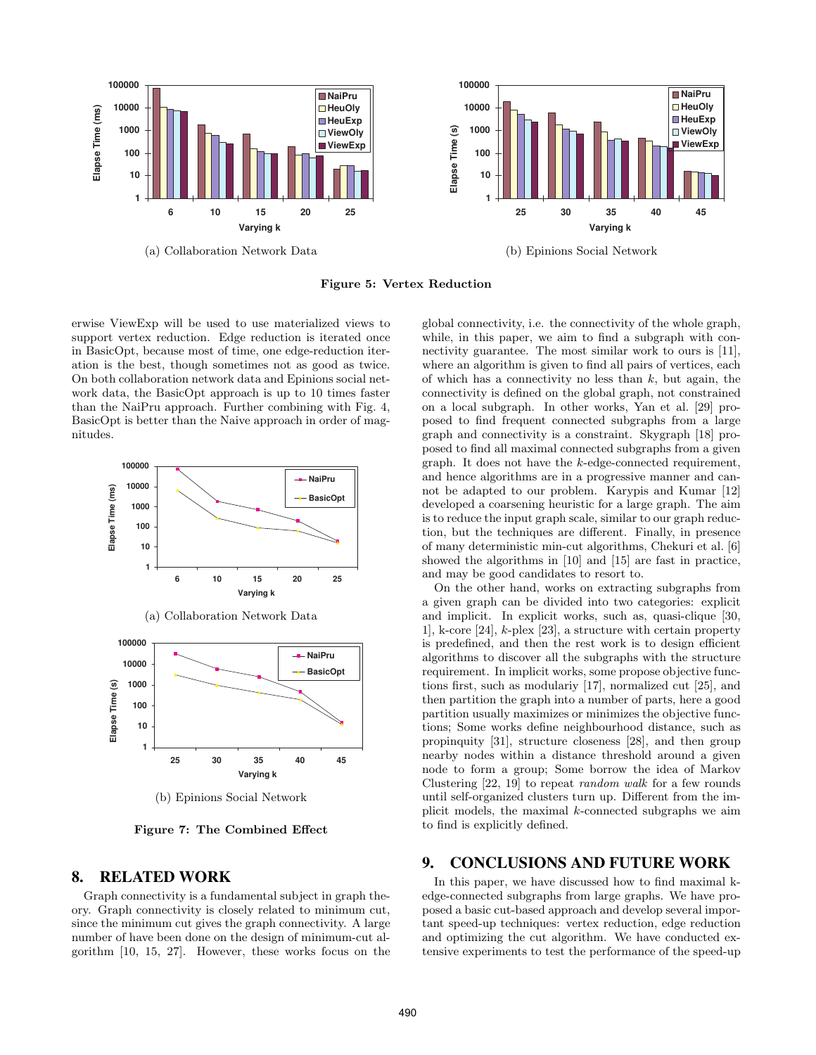

Figure 5: Vertex Reduction

erwise ViewExp will be used to use materialized views to in BasicOpt, because most of time, one edge-reduction iteration is the best, though sometimes not as good as twice. On both collaboration network data and Epinions social network data, the BasicOpt approach is up to 10 times faster than the NaiPru approach. Further combining with Fig. 4, BasicOpt is better than the Naive approach in order of mag- $\mathbf{B}$ 



(b) Epinions Social Network

Figure 7: The Combined Effect

#### **8. RELATED WORK**

Graph connectivity is a fundamental subject in graph theory. Graph connectivity is closely related to minimum cut, since the minimum cut gives the graph connectivity. A large number of have been done on the design of minimum-cut alnumber of have been done on the design of minimum-cut al-<br>gorithm [10-15-97] - However these works focus on the gorithm  $[-0, -0, -1]$ . However, these works focus on the

global connectivity, i.e. the connectivity of the whole graph, while, in this paper, we aim to find a subgraph with connectivity guarantee. The most similar work to ours is  $[11]$ , where an algorithm is given to find all pairs of vertices, each of which has a connectivity no less than  $k$ , but again, the connectivity is defined on the global graph, not constrained connectivity is defined on the global graph, not constrained<br>on a local subgraph. In other works, Yan et al. [29] proposed to find frequent connected subgraphs from a large graph and connectivity is a constraint. Skygraph  $[18]$  proposed to find all maximal connected subgraphs from a given graph. It does not have the  $k$ -edge-connected requirement, and hance algorithms are in a progressive manner and canand hence algorithms are in a progressive manner and can-<br>not be adapted to our problem. Karypis and Kumar [12] developed a coarsening heuristic for a large graph. The aim is to reduce the input graph scale, similar to our graph reduction, but the techniques are different. Finally, in presence of many deterministic min-cut algorithms, Chekuri et al. [6] showed the algorithms in  $[10]$  and  $[15]$  are fast in practice, and may be good candidates to resort to.

On the other hand, works on extracting subgraphs from a given graph can be divided into two categories: explicit and implicit. In explicit works, such as, quasi-clique [30, 1], k-core [24], k-plex [23], a structure with certain property<br>is predefined and then the rest work is to design efficient is predefined, and then the rest work is to design efficient algorithms to discover all the subgraphs with the structure requirement. In implicit works, some propose objective functions first, such as modularly [17], normalized cut [25], and then partition the graph into a number of parts, here a good partition usually maximizes or minimizes the objective functions; Some works define neighbourhood distance, such as propinguity  $[31]$ , structure closeness  $[28]$ , and then group nearby nodes within a distance threshold around a given node to form a group; Some borrow the idea of Markov Clustering [22, 19] to repeat *random walk* for a few rounds<br>until self-organized clusters turn up. Different from the implicit models, the maximal  $k$ -connected subgraphs we aim-<br>to find is explicitly defined to find is explicitly defined.

#### **9. CONCLUSIONS AND FUTURE WORK**

In this paper, we have discussed how to find maximal k-<br>edge-connected subgraphs from large graphs. We have proposed a basic cut-based approach and develop several important speed-up techniques: vertex reduction, edge reduction and optimizing the cut algorithm. We have conducted exand optimizing the cat algorithm. We have conducted in tensive experiments to test the performance of the speed-up